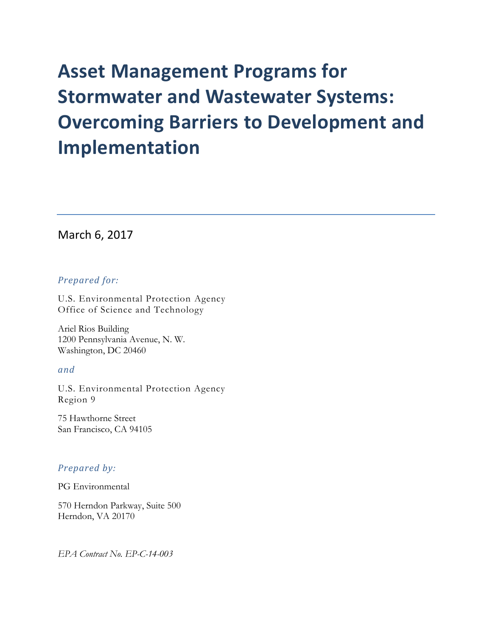### March 6, 2017

### *Prepared for:*

U.S. Environmental Protection Agency Office of Science and Technology

Ariel Rios Building 1200 Pennsylvania Avenue, N. W. Washington, DC 20460

### *and*

U.S. Environmental Protection Agency Region 9

75 Hawthorne Street San Francisco, CA 94105

### *Prepared by:*

PG Environmental

570 Herndon Parkway, Suite 500 Herndon, VA 20170

*EPA Contract No. EP-C-14-003*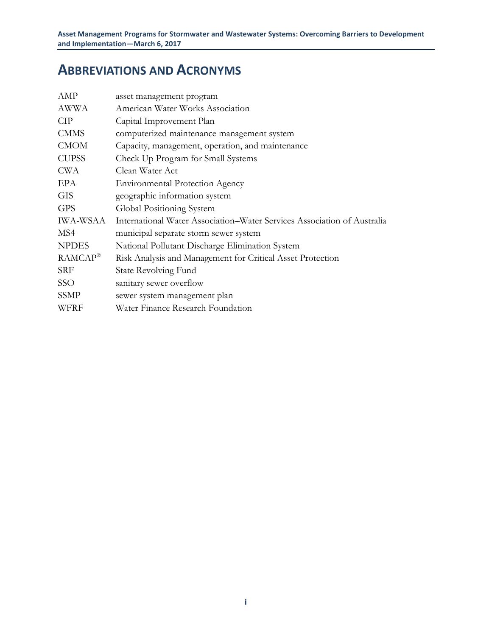## **ABBREVIATIONS AND ACRONYMS**

| AMP                 | asset management program                                                |
|---------------------|-------------------------------------------------------------------------|
| AWWA                | American Water Works Association                                        |
| <b>CIP</b>          | Capital Improvement Plan                                                |
| <b>CMMS</b>         | computerized maintenance management system                              |
| <b>CMOM</b>         | Capacity, management, operation, and maintenance                        |
| <b>CUPSS</b>        | Check Up Program for Small Systems                                      |
| <b>CWA</b>          | Clean Water Act                                                         |
| EPA                 | <b>Environmental Protection Agency</b>                                  |
| <b>GIS</b>          | geographic information system                                           |
| <b>GPS</b>          | Global Positioning System                                               |
| IWA-WSAA            | International Water Association–Water Services Association of Australia |
| MS4                 | municipal separate storm sewer system                                   |
| <b>NPDES</b>        | National Pollutant Discharge Elimination System                         |
| RAMCAP <sup>®</sup> | Risk Analysis and Management for Critical Asset Protection              |
| <b>SRF</b>          | <b>State Revolving Fund</b>                                             |
| <b>SSO</b>          | sanitary sewer overflow                                                 |
| <b>SSMP</b>         | sewer system management plan                                            |
| WFRF                | Water Finance Research Foundation                                       |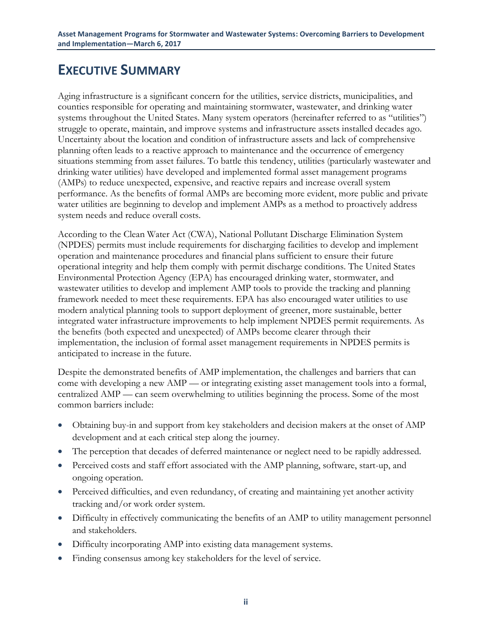## **EXECUTIVE SUMMARY**

Aging infrastructure is a significant concern for the utilities, service districts, municipalities, and counties responsible for operating and maintaining stormwater, wastewater, and drinking water systems throughout the United States. Many system operators (hereinafter referred to as "utilities") struggle to operate, maintain, and improve systems and infrastructure assets installed decades ago. Uncertainty about the location and condition of infrastructure assets and lack of comprehensive planning often leads to a reactive approach to maintenance and the occurrence of emergency situations stemming from asset failures. To battle this tendency, utilities (particularly wastewater and drinking water utilities) have developed and implemented formal asset management programs (AMPs) to reduce unexpected, expensive, and reactive repairs and increase overall system performance. As the benefits of formal AMPs are becoming more evident, more public and private water utilities are beginning to develop and implement AMPs as a method to proactively address system needs and reduce overall costs.

According to the Clean Water Act (CWA), National Pollutant Discharge Elimination System (NPDES) permits must include requirements for discharging facilities to develop and implement operation and maintenance procedures and financial plans sufficient to ensure their future operational integrity and help them comply with permit discharge conditions. The United States Environmental Protection Agency (EPA) has encouraged drinking water, stormwater, and wastewater utilities to develop and implement AMP tools to provide the tracking and planning framework needed to meet these requirements. EPA has also encouraged water utilities to use modern analytical planning tools to support deployment of greener, more sustainable, better integrated water infrastructure improvements to help implement NPDES permit requirements. As the benefits (both expected and unexpected) of AMPs become clearer through their implementation, the inclusion of formal asset management requirements in NPDES permits is anticipated to increase in the future.

Despite the demonstrated benefits of AMP implementation, the challenges and barriers that can come with developing a new AMP — or integrating existing asset management tools into a formal, centralized AMP — can seem overwhelming to utilities beginning the process. Some of the most common barriers include:

- Obtaining buy-in and support from key stakeholders and decision makers at the onset of AMP development and at each critical step along the journey.
- The perception that decades of deferred maintenance or neglect need to be rapidly addressed.
- Perceived costs and staff effort associated with the AMP planning, software, start-up, and ongoing operation.
- Perceived difficulties, and even redundancy, of creating and maintaining yet another activity tracking and/or work order system.
- Difficulty in effectively communicating the benefits of an AMP to utility management personnel and stakeholders.
- Difficulty incorporating AMP into existing data management systems.
- Finding consensus among key stakeholders for the level of service.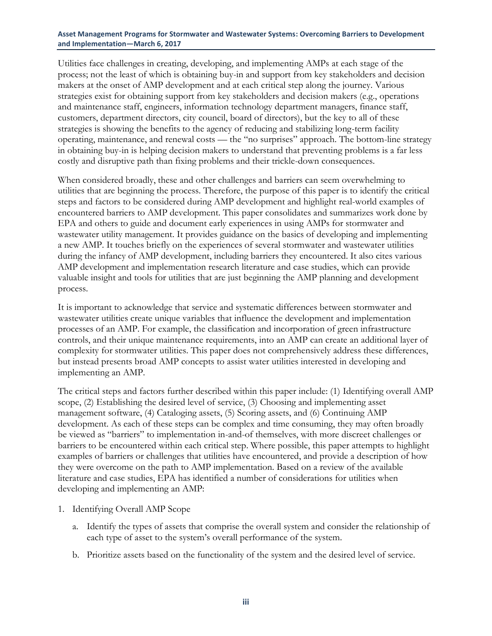Utilities face challenges in creating, developing, and implementing AMPs at each stage of the process; not the least of which is obtaining buy-in and support from key stakeholders and decision makers at the onset of AMP development and at each critical step along the journey. Various strategies exist for obtaining support from key stakeholders and decision makers (e.g., operations and maintenance staff, engineers, information technology department managers, finance staff, customers, department directors, city council, board of directors), but the key to all of these strategies is showing the benefits to the agency of reducing and stabilizing long-term facility operating, maintenance, and renewal costs — the "no surprises" approach. The bottom-line strategy in obtaining buy-in is helping decision makers to understand that preventing problems is a far less costly and disruptive path than fixing problems and their trickle-down consequences.

When considered broadly, these and other challenges and barriers can seem overwhelming to utilities that are beginning the process. Therefore, the purpose of this paper is to identify the critical steps and factors to be considered during AMP development and highlight real-world examples of encountered barriers to AMP development. This paper consolidates and summarizes work done by EPA and others to guide and document early experiences in using AMPs for stormwater and wastewater utility management. It provides guidance on the basics of developing and implementing a new AMP. It touches briefly on the experiences of several stormwater and wastewater utilities during the infancy of AMP development, including barriers they encountered. It also cites various AMP development and implementation research literature and case studies, which can provide valuable insight and tools for utilities that are just beginning the AMP planning and development process.

It is important to acknowledge that service and systematic differences between stormwater and wastewater utilities create unique variables that influence the development and implementation processes of an AMP. For example, the classification and incorporation of green infrastructure controls, and their unique maintenance requirements, into an AMP can create an additional layer of complexity for stormwater utilities. This paper does not comprehensively address these differences, but instead presents broad AMP concepts to assist water utilities interested in developing and implementing an AMP.

The critical steps and factors further described within this paper include: (1) Identifying overall AMP scope, (2) Establishing the desired level of service, (3) Choosing and implementing asset management software, (4) Cataloging assets, (5) Scoring assets, and (6) Continuing AMP development. As each of these steps can be complex and time consuming, they may often broadly be viewed as "barriers" to implementation in-and-of themselves, with more discreet challenges or barriers to be encountered within each critical step. Where possible, this paper attempts to highlight examples of barriers or challenges that utilities have encountered, and provide a description of how they were overcome on the path to AMP implementation. Based on a review of the available literature and case studies, EPA has identified a number of considerations for utilities when developing and implementing an AMP:

- 1. Identifying Overall AMP Scope
	- a. Identify the types of assets that comprise the overall system and consider the relationship of each type of asset to the system's overall performance of the system.
	- b. Prioritize assets based on the functionality of the system and the desired level of service.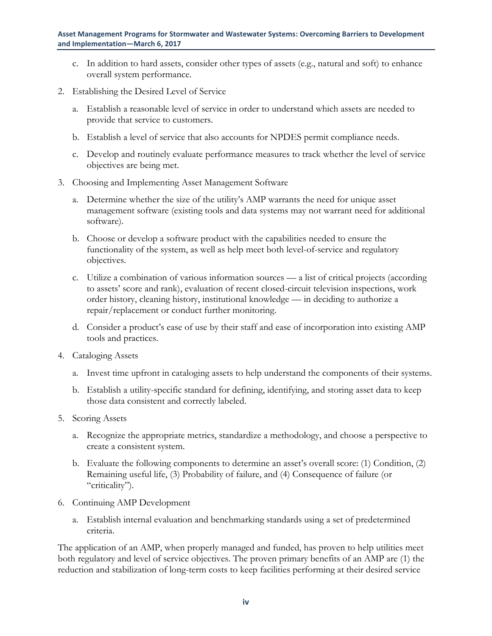- c. In addition to hard assets, consider other types of assets (e.g., natural and soft) to enhance overall system performance.
- 2. Establishing the Desired Level of Service
	- a. Establish a reasonable level of service in order to understand which assets are needed to provide that service to customers.
	- b. Establish a level of service that also accounts for NPDES permit compliance needs.
	- c. Develop and routinely evaluate performance measures to track whether the level of service objectives are being met.
- 3. Choosing and Implementing Asset Management Software
	- a. Determine whether the size of the utility's AMP warrants the need for unique asset management software (existing tools and data systems may not warrant need for additional software).
	- b. Choose or develop a software product with the capabilities needed to ensure the functionality of the system, as well as help meet both level-of-service and regulatory objectives.
	- c. Utilize a combination of various information sources a list of critical projects (according to assets' score and rank), evaluation of recent closed-circuit television inspections, work order history, cleaning history, institutional knowledge — in deciding to authorize a repair/replacement or conduct further monitoring.
	- d. Consider a product's ease of use by their staff and ease of incorporation into existing AMP tools and practices.
- 4. Cataloging Assets
	- a. Invest time upfront in cataloging assets to help understand the components of their systems.
	- b. Establish a utility-specific standard for defining, identifying, and storing asset data to keep those data consistent and correctly labeled.
- 5. Scoring Assets
	- a. Recognize the appropriate metrics, standardize a methodology, and choose a perspective to create a consistent system.
	- b. Evaluate the following components to determine an asset's overall score: (1) Condition, (2) Remaining useful life, (3) Probability of failure, and (4) Consequence of failure (or "criticality").
- 6. Continuing AMP Development
	- a. Establish internal evaluation and benchmarking standards using a set of predetermined criteria.

The application of an AMP, when properly managed and funded, has proven to help utilities meet both regulatory and level of service objectives. The proven primary benefits of an AMP are (1) the reduction and stabilization of long-term costs to keep facilities performing at their desired service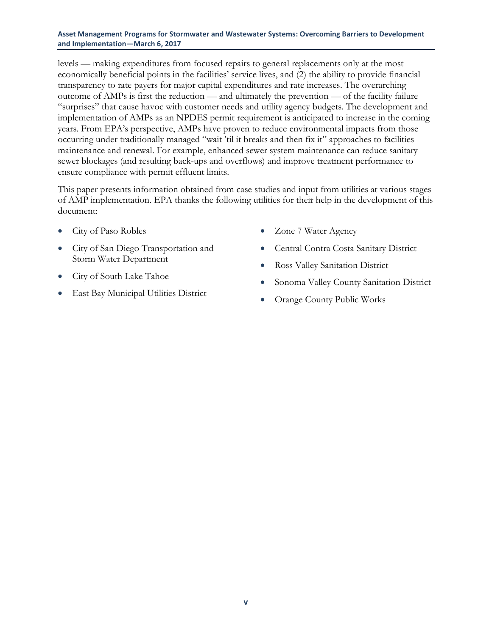levels — making expenditures from focused repairs to general replacements only at the most economically beneficial points in the facilities' service lives, and (2) the ability to provide financial transparency to rate payers for major capital expenditures and rate increases. The overarching outcome of AMPs is first the reduction — and ultimately the prevention — of the facility failure "surprises" that cause havoc with customer needs and utility agency budgets. The development and implementation of AMPs as an NPDES permit requirement is anticipated to increase in the coming years. From EPA's perspective, AMPs have proven to reduce environmental impacts from those occurring under traditionally managed "wait 'til it breaks and then fix it" approaches to facilities maintenance and renewal. For example, enhanced sewer system maintenance can reduce sanitary sewer blockages (and resulting back-ups and overflows) and improve treatment performance to ensure compliance with permit effluent limits.

This paper presents information obtained from case studies and input from utilities at various stages of AMP implementation. EPA thanks the following utilities for their help in the development of this document:

- City of Paso Robles
- City of San Diego Transportation and Storm Water Department
- City of South Lake Tahoe
- East Bay Municipal Utilities District
- Zone 7 Water Agency
- Central Contra Costa Sanitary District
- Ross Valley Sanitation District
- Sonoma Valley County Sanitation District
- Orange County Public Works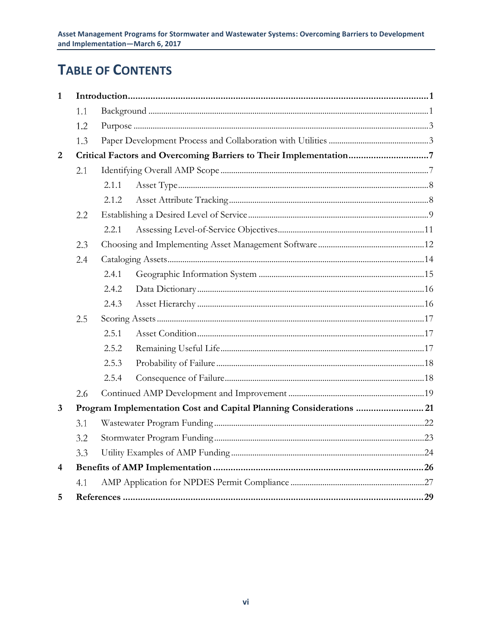## **TABLE OF CONTENTS**

| $\mathbf{1}$   |     |        |                                                                    |  |  |
|----------------|-----|--------|--------------------------------------------------------------------|--|--|
|                | 1.1 |        |                                                                    |  |  |
|                | 1.2 |        |                                                                    |  |  |
|                | 1.3 |        |                                                                    |  |  |
| $\overline{2}$ |     |        |                                                                    |  |  |
|                | 2.1 |        |                                                                    |  |  |
|                |     | 2.1.1  |                                                                    |  |  |
|                |     | 2.1.2. |                                                                    |  |  |
|                | 2.2 |        |                                                                    |  |  |
|                |     | 2.2.1  |                                                                    |  |  |
|                | 2.3 |        |                                                                    |  |  |
|                | 2.4 |        |                                                                    |  |  |
|                |     | 2.4.1  |                                                                    |  |  |
|                |     | 2.4.2  |                                                                    |  |  |
|                |     | 2.4.3  |                                                                    |  |  |
|                | 2.5 |        |                                                                    |  |  |
|                |     | 2.5.1  |                                                                    |  |  |
|                |     | 2.5.2  |                                                                    |  |  |
|                |     | 2.5.3  |                                                                    |  |  |
|                |     | 2.5.4  |                                                                    |  |  |
|                | 2.6 |        |                                                                    |  |  |
| 3              |     |        | Program Implementation Cost and Capital Planning Considerations 21 |  |  |
|                | 3.1 |        |                                                                    |  |  |
|                | 3.2 |        |                                                                    |  |  |
|                | 3.3 |        |                                                                    |  |  |
| $\overline{4}$ |     |        |                                                                    |  |  |
|                | 4.1 |        |                                                                    |  |  |
| 5              |     |        |                                                                    |  |  |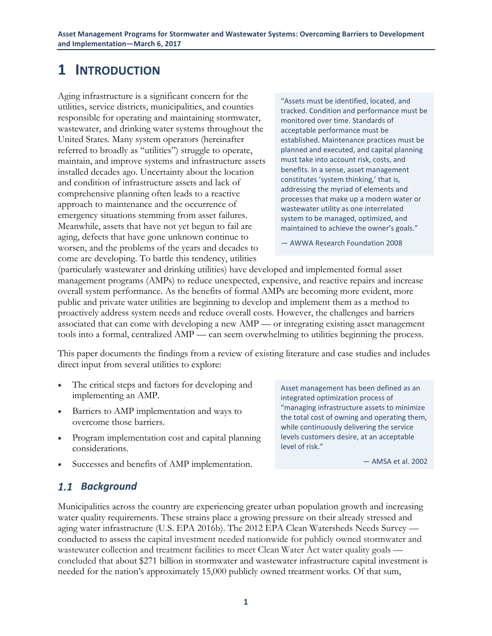## <span id="page-7-0"></span>**1 INTRODUCTION**

Aging infrastructure is a significant concern for the utilities, service districts, municipalities, and counties responsible for operating and maintaining stormwater, wastewater, and drinking water systems throughout the United States. Many system operators (hereinafter referred to broadly as "utilities") struggle to operate, maintain, and improve systems and infrastructure assets installed decades ago. Uncertainty about the location and condition of infrastructure assets and lack of comprehensive planning often leads to a reactive approach to maintenance and the occurrence of emergency situations stemming from asset failures. Meanwhile, assets that have not yet begun to fail are aging, defects that have gone unknown continue to worsen, and the problems of the years and decades to come are developing. To battle this tendency, utilities

"Assets must be identified, located, and tracked. Condition and performance must be monitored over time. Standards of acceptable performance must be established. Maintenance practices must be planned and executed, and capital planning must take into account risk, costs, and benefits. In a sense, asset management constitutes 'system thinking,' that is, addressing the myriad of elements and processes that make up a modern water or wastewater utility as one interrelated system to be managed, optimized, and maintained to achieve the owner's goals."

— AWWA Research Foundation 2008

(particularly wastewater and drinking utilities) have developed and implemented formal asset management programs (AMPs) to reduce unexpected, expensive, and reactive repairs and increase overall system performance. As the benefits of formal AMPs are becoming more evident, more public and private water utilities are beginning to develop and implement them as a method to proactively address system needs and reduce overall costs. However, the challenges and barriers associated that can come with developing a new AMP — or integrating existing asset management tools into a formal, centralized AMP — can seem overwhelming to utilities beginning the process.

This paper documents the findings from a review of existing literature and case studies and includes direct input from several utilities to explore:

- The critical steps and factors for developing and implementing an AMP.
- Barriers to AMP implementation and ways to overcome those barriers.
- Program implementation cost and capital planning considerations.

Asset management has been defined as an integrated optimization process of "managing infrastructure assets to minimize the total cost of owning and operating them, while continuously delivering the service levels customers desire, at an acceptable level of risk."

— AMSA et al. 2002

Successes and benefits of AMP implementation.

### <span id="page-7-1"></span>*Background*

Municipalities across the country are experiencing greater urban population growth and increasing water quality requirements. These strains place a growing pressure on their already stressed and aging water infrastructure (U.S. EPA 2016b). The 2012 EPA Clean Watersheds Needs Survey conducted to assess the capital investment needed nationwide for publicly owned stormwater and wastewater collection and treatment facilities to meet Clean Water Act water quality goals concluded that about \$271 billion in stormwater and wastewater infrastructure capital investment is needed for the nation's approximately 15,000 publicly owned treatment works. Of that sum,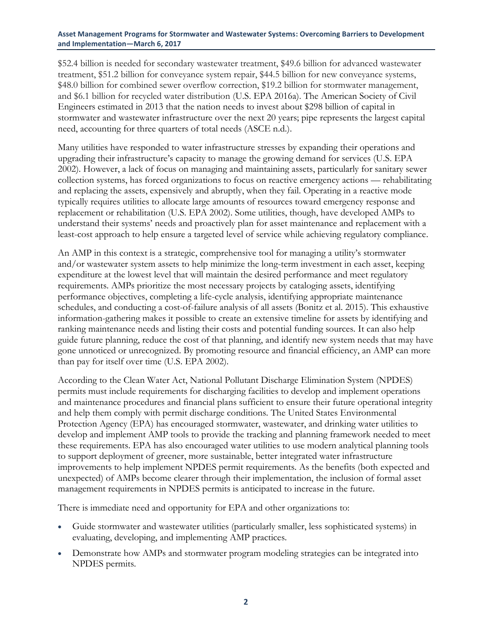\$52.4 billion is needed for secondary wastewater treatment, \$49.6 billion for advanced wastewater treatment, \$51.2 billion for conveyance system repair, \$44.5 billion for new conveyance systems, \$48.0 billion for combined sewer overflow correction, \$19.2 billion for stormwater management, and \$6.1 billion for recycled water distribution (U.S. EPA 2016a). The American Society of Civil Engineers estimated in 2013 that the nation needs to invest about \$298 billion of capital in stormwater and wastewater infrastructure over the next 20 years; pipe represents the largest capital need, accounting for three quarters of total needs (ASCE n.d.).

Many utilities have responded to water infrastructure stresses by expanding their operations and upgrading their infrastructure's capacity to manage the growing demand for services (U.S. EPA 2002). However, a lack of focus on managing and maintaining assets, particularly for sanitary sewer collection systems, has forced organizations to focus on reactive emergency actions — rehabilitating and replacing the assets, expensively and abruptly, when they fail. Operating in a reactive mode typically requires utilities to allocate large amounts of resources toward emergency response and replacement or rehabilitation (U.S. EPA 2002). Some utilities, though, have developed AMPs to understand their systems' needs and proactively plan for asset maintenance and replacement with a least-cost approach to help ensure a targeted level of service while achieving regulatory compliance.

An AMP in this context is a strategic, comprehensive tool for managing a utility's stormwater and/or wastewater system assets to help minimize the long-term investment in each asset, keeping expenditure at the lowest level that will maintain the desired performance and meet regulatory requirements. AMPs prioritize the most necessary projects by cataloging assets, identifying performance objectives, completing a life-cycle analysis, identifying appropriate maintenance schedules, and conducting a cost-of-failure analysis of all assets (Bonitz et al. 2015). This exhaustive information-gathering makes it possible to create an extensive timeline for assets by identifying and ranking maintenance needs and listing their costs and potential funding sources. It can also help guide future planning, reduce the cost of that planning, and identify new system needs that may have gone unnoticed or unrecognized. By promoting resource and financial efficiency, an AMP can more than pay for itself over time (U.S. EPA 2002).

According to the Clean Water Act, National Pollutant Discharge Elimination System (NPDES) permits must include requirements for discharging facilities to develop and implement operations and maintenance procedures and financial plans sufficient to ensure their future operational integrity and help them comply with permit discharge conditions. The United States Environmental Protection Agency (EPA) has encouraged stormwater, wastewater, and drinking water utilities to develop and implement AMP tools to provide the tracking and planning framework needed to meet these requirements. EPA has also encouraged water utilities to use modern analytical planning tools to support deployment of greener, more sustainable, better integrated water infrastructure improvements to help implement NPDES permit requirements. As the benefits (both expected and unexpected) of AMPs become clearer through their implementation, the inclusion of formal asset management requirements in NPDES permits is anticipated to increase in the future.

There is immediate need and opportunity for EPA and other organizations to:

- Guide stormwater and wastewater utilities (particularly smaller, less sophisticated systems) in evaluating, developing, and implementing AMP practices.
- Demonstrate how AMPs and stormwater program modeling strategies can be integrated into NPDES permits.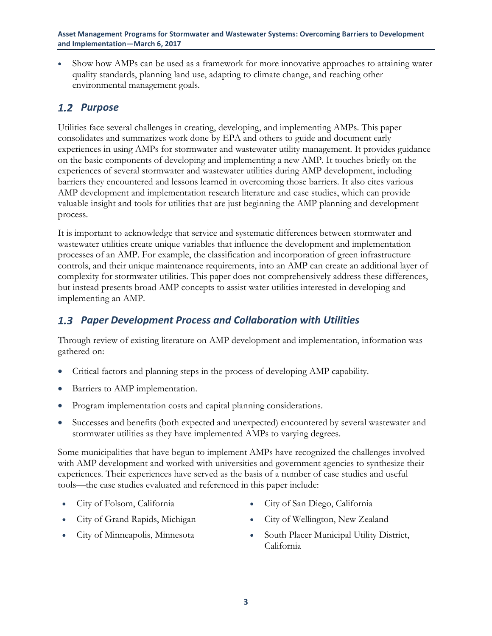Show how AMPs can be used as a framework for more innovative approaches to attaining water quality standards, planning land use, adapting to climate change, and reaching other environmental management goals.

### <span id="page-9-0"></span>1.2 Purpose

Utilities face several challenges in creating, developing, and implementing AMPs. This paper consolidates and summarizes work done by EPA and others to guide and document early experiences in using AMPs for stormwater and wastewater utility management. It provides guidance on the basic components of developing and implementing a new AMP. It touches briefly on the experiences of several stormwater and wastewater utilities during AMP development, including barriers they encountered and lessons learned in overcoming those barriers. It also cites various AMP development and implementation research literature and case studies, which can provide valuable insight and tools for utilities that are just beginning the AMP planning and development process.

It is important to acknowledge that service and systematic differences between stormwater and wastewater utilities create unique variables that influence the development and implementation processes of an AMP. For example, the classification and incorporation of green infrastructure controls, and their unique maintenance requirements, into an AMP can create an additional layer of complexity for stormwater utilities. This paper does not comprehensively address these differences, but instead presents broad AMP concepts to assist water utilities interested in developing and implementing an AMP.

### <span id="page-9-1"></span>*Paper Development Process and Collaboration with Utilities*

Through review of existing literature on AMP development and implementation, information was gathered on:

- Critical factors and planning steps in the process of developing AMP capability.
- Barriers to AMP implementation.
- Program implementation costs and capital planning considerations.
- Successes and benefits (both expected and unexpected) encountered by several wastewater and stormwater utilities as they have implemented AMPs to varying degrees.

Some municipalities that have begun to implement AMPs have recognized the challenges involved with AMP development and worked with universities and government agencies to synthesize their experiences. Their experiences have served as the basis of a number of case studies and useful tools—the case studies evaluated and referenced in this paper include:

- 
- 
- 
- City of Folsom, California City of San Diego, California
	- City of Grand Rapids, Michigan 
	City of Wellington, New Zealand
- City of Minneapolis, Minnesota South Placer Municipal Utility District, California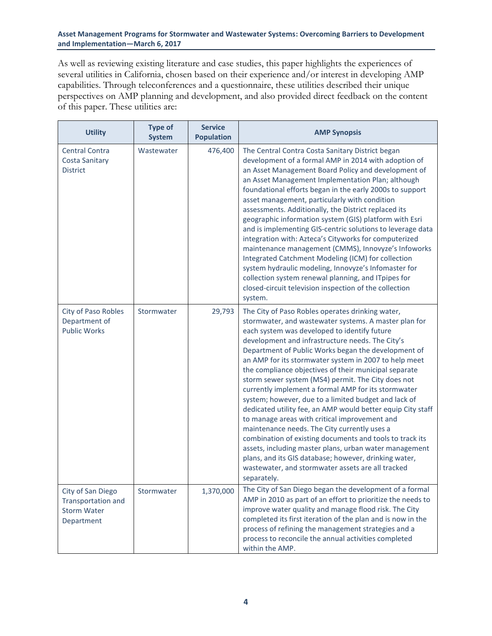As well as reviewing existing literature and case studies, this paper highlights the experiences of several utilities in California, chosen based on their experience and/or interest in developing AMP capabilities. Through teleconferences and a questionnaire, these utilities described their unique perspectives on AMP planning and development, and also provided direct feedback on the content of this paper. These utilities are:

| <b>Utility</b>                                                              | <b>Type of</b><br><b>System</b> | <b>Service</b><br><b>Population</b> | <b>AMP Synopsis</b>                                                                                                                                                                                                                                                                                                                                                                                                                                                                                                                                                                                                                                                                                                                                                                                                                                                                                                                                                            |
|-----------------------------------------------------------------------------|---------------------------------|-------------------------------------|--------------------------------------------------------------------------------------------------------------------------------------------------------------------------------------------------------------------------------------------------------------------------------------------------------------------------------------------------------------------------------------------------------------------------------------------------------------------------------------------------------------------------------------------------------------------------------------------------------------------------------------------------------------------------------------------------------------------------------------------------------------------------------------------------------------------------------------------------------------------------------------------------------------------------------------------------------------------------------|
| <b>Central Contra</b><br>Costa Sanitary<br><b>District</b>                  | Wastewater                      | 476,400                             | The Central Contra Costa Sanitary District began<br>development of a formal AMP in 2014 with adoption of<br>an Asset Management Board Policy and development of<br>an Asset Management Implementation Plan; although<br>foundational efforts began in the early 2000s to support<br>asset management, particularly with condition<br>assessments. Additionally, the District replaced its<br>geographic information system (GIS) platform with Esri<br>and is implementing GIS-centric solutions to leverage data<br>integration with: Azteca's Cityworks for computerized<br>maintenance management (CMMS), Innovyze's Infoworks<br>Integrated Catchment Modeling (ICM) for collection<br>system hydraulic modeling, Innovyze's Infomaster for<br>collection system renewal planning, and ITpipes for<br>closed-circuit television inspection of the collection<br>system.                                                                                                    |
| City of Paso Robles<br>Department of<br><b>Public Works</b>                 | Stormwater                      | 29,793                              | The City of Paso Robles operates drinking water,<br>stormwater, and wastewater systems. A master plan for<br>each system was developed to identify future<br>development and infrastructure needs. The City's<br>Department of Public Works began the development of<br>an AMP for its stormwater system in 2007 to help meet<br>the compliance objectives of their municipal separate<br>storm sewer system (MS4) permit. The City does not<br>currently implement a formal AMP for its stormwater<br>system; however, due to a limited budget and lack of<br>dedicated utility fee, an AMP would better equip City staff<br>to manage areas with critical improvement and<br>maintenance needs. The City currently uses a<br>combination of existing documents and tools to track its<br>assets, including master plans, urban water management<br>plans, and its GIS database; however, drinking water,<br>wastewater, and stormwater assets are all tracked<br>separately. |
| City of San Diego<br>Transportation and<br><b>Storm Water</b><br>Department | Stormwater                      | 1,370,000                           | The City of San Diego began the development of a formal<br>AMP in 2010 as part of an effort to prioritize the needs to<br>improve water quality and manage flood risk. The City<br>completed its first iteration of the plan and is now in the<br>process of refining the management strategies and a<br>process to reconcile the annual activities completed<br>within the AMP.                                                                                                                                                                                                                                                                                                                                                                                                                                                                                                                                                                                               |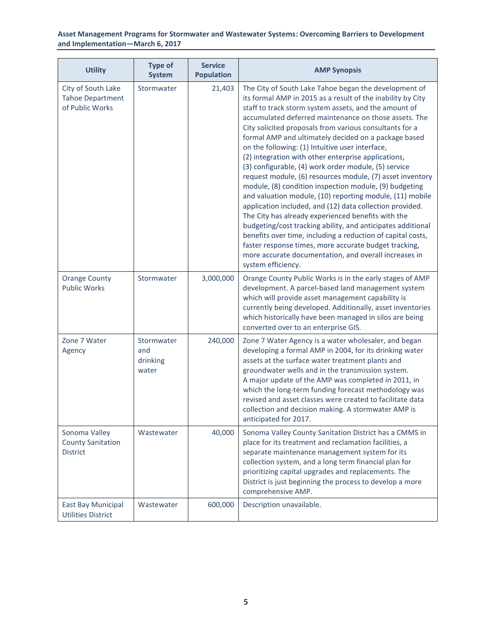| <b>Utility</b>                                                   | <b>Type of</b><br><b>System</b>        | <b>Service</b><br><b>Population</b> | <b>AMP Synopsis</b>                                                                                                                                                                                                                                                                                                                                                                                                                                                                                                                                                                                                                                                                                                                                                                                                                                                                                                                                                                                                                                                                                    |
|------------------------------------------------------------------|----------------------------------------|-------------------------------------|--------------------------------------------------------------------------------------------------------------------------------------------------------------------------------------------------------------------------------------------------------------------------------------------------------------------------------------------------------------------------------------------------------------------------------------------------------------------------------------------------------------------------------------------------------------------------------------------------------------------------------------------------------------------------------------------------------------------------------------------------------------------------------------------------------------------------------------------------------------------------------------------------------------------------------------------------------------------------------------------------------------------------------------------------------------------------------------------------------|
| City of South Lake<br><b>Tahoe Department</b><br>of Public Works | Stormwater                             | 21,403                              | The City of South Lake Tahoe began the development of<br>its formal AMP in 2015 as a result of the inability by City<br>staff to track storm system assets, and the amount of<br>accumulated deferred maintenance on those assets. The<br>City solicited proposals from various consultants for a<br>formal AMP and ultimately decided on a package based<br>on the following: (1) Intuitive user interface,<br>(2) integration with other enterprise applications,<br>(3) configurable, (4) work order module, (5) service<br>request module, (6) resources module, (7) asset inventory<br>module, (8) condition inspection module, (9) budgeting<br>and valuation module, (10) reporting module, (11) mobile<br>application included, and (12) data collection provided.<br>The City has already experienced benefits with the<br>budgeting/cost tracking ability, and anticipates additional<br>benefits over time, including a reduction of capital costs,<br>faster response times, more accurate budget tracking,<br>more accurate documentation, and overall increases in<br>system efficiency. |
| <b>Orange County</b><br><b>Public Works</b>                      | Stormwater                             | 3,000,000                           | Orange County Public Works is in the early stages of AMP<br>development. A parcel-based land management system<br>which will provide asset management capability is<br>currently being developed. Additionally, asset inventories<br>which historically have been managed in silos are being<br>converted over to an enterprise GIS.                                                                                                                                                                                                                                                                                                                                                                                                                                                                                                                                                                                                                                                                                                                                                                   |
| Zone 7 Water<br>Agency                                           | Stormwater<br>and<br>drinking<br>water | 240,000                             | Zone 7 Water Agency is a water wholesaler, and began<br>developing a formal AMP in 2004, for its drinking water<br>assets at the surface water treatment plants and<br>groundwater wells and in the transmission system.<br>A major update of the AMP was completed in 2011, in<br>which the long-term funding forecast methodology was<br>revised and asset classes were created to facilitate data<br>collection and decision making. A stormwater AMP is<br>anticipated for 2017.                                                                                                                                                                                                                                                                                                                                                                                                                                                                                                                                                                                                                   |
| Sonoma Valley<br><b>County Sanitation</b><br><b>District</b>     | Wastewater                             | 40,000                              | Sonoma Valley County Sanitation District has a CMMS in<br>place for its treatment and reclamation facilities, a<br>separate maintenance management system for its<br>collection system, and a long term financial plan for<br>prioritizing capital upgrades and replacements. The<br>District is just beginning the process to develop a more<br>comprehensive AMP.                                                                                                                                                                                                                                                                                                                                                                                                                                                                                                                                                                                                                                                                                                                                    |
| <b>East Bay Municipal</b><br><b>Utilities District</b>           | Wastewater                             | 600,000                             | Description unavailable.                                                                                                                                                                                                                                                                                                                                                                                                                                                                                                                                                                                                                                                                                                                                                                                                                                                                                                                                                                                                                                                                               |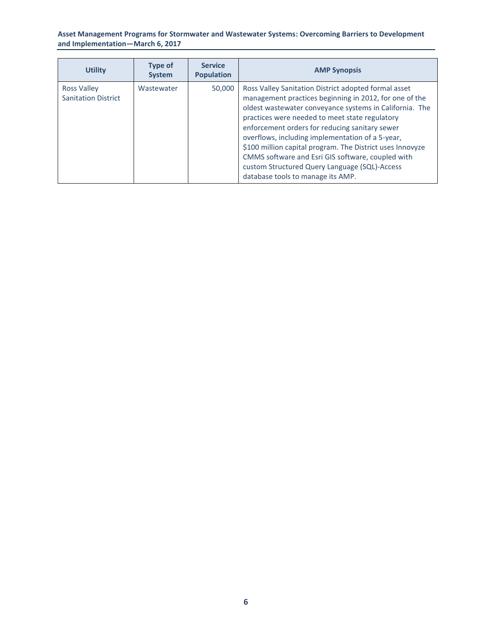| <b>Utility</b>                                   | <b>Type of</b><br><b>System</b> | <b>Service</b><br><b>Population</b> | <b>AMP Synopsis</b>                                                                                                                                                                                                                                                                                                                                                                                                                                                                                                                       |
|--------------------------------------------------|---------------------------------|-------------------------------------|-------------------------------------------------------------------------------------------------------------------------------------------------------------------------------------------------------------------------------------------------------------------------------------------------------------------------------------------------------------------------------------------------------------------------------------------------------------------------------------------------------------------------------------------|
| <b>Ross Valley</b><br><b>Sanitation District</b> | Wastewater                      | 50,000                              | Ross Valley Sanitation District adopted formal asset<br>management practices beginning in 2012, for one of the<br>oldest wastewater conveyance systems in California. The<br>practices were needed to meet state regulatory<br>enforcement orders for reducing sanitary sewer<br>overflows, including implementation of a 5-year,<br>\$100 million capital program. The District uses Innovyze<br>CMMS software and Esri GIS software, coupled with<br>custom Structured Query Language (SQL)-Access<br>database tools to manage its AMP. |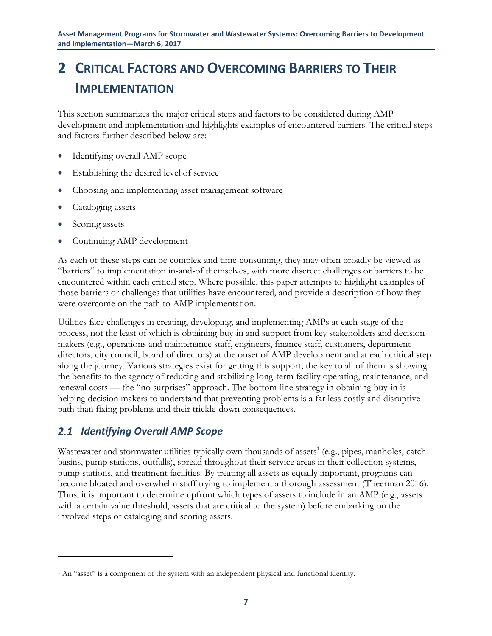## <span id="page-13-0"></span>**2 CRITICAL FACTORS AND OVERCOMING BARRIERS TO THEIR IMPLEMENTATION**

This section summarizes the major critical steps and factors to be considered during AMP development and implementation and highlights examples of encountered barriers. The critical steps and factors further described below are:

- Identifying overall AMP scope
- Establishing the desired level of service
- Choosing and implementing asset management software
- Cataloging assets
- Scoring assets

 $\overline{a}$ 

Continuing AMP development

As each of these steps can be complex and time-consuming, they may often broadly be viewed as "barriers" to implementation in-and-of themselves, with more discreet challenges or barriers to be encountered within each critical step. Where possible, this paper attempts to highlight examples of those barriers or challenges that utilities have encountered, and provide a description of how they were overcome on the path to AMP implementation.

Utilities face challenges in creating, developing, and implementing AMPs at each stage of the process, not the least of which is obtaining buy-in and support from key stakeholders and decision makers (e.g., operations and maintenance staff, engineers, finance staff, customers, department directors, city council, board of directors) at the onset of AMP development and at each critical step along the journey. Various strategies exist for getting this support; the key to all of them is showing the benefits to the agency of reducing and stabilizing long-term facility operating, maintenance, and renewal costs — the "no surprises" approach. The bottom-line strategy in obtaining buy-in is helping decision makers to understand that preventing problems is a far less costly and disruptive path than fixing problems and their trickle-down consequences.

### <span id="page-13-1"></span>*Identifying Overall AMP Scope*

Wastewater and stormwater utilities typically own thousands of assets<sup>1</sup> (e.g., pipes, manholes, catch basins, pump stations, outfalls), spread throughout their service areas in their collection systems, pump stations, and treatment facilities. By treating all assets as equally important, programs can become bloated and overwhelm staff trying to implement a thorough assessment (Theerman 2016). Thus, it is important to determine upfront which types of assets to include in an AMP (e.g., assets with a certain value threshold, assets that are critical to the system) before embarking on the involved steps of cataloging and scoring assets.

<sup>&</sup>lt;sup>1</sup> An "asset" is a component of the system with an independent physical and functional identity.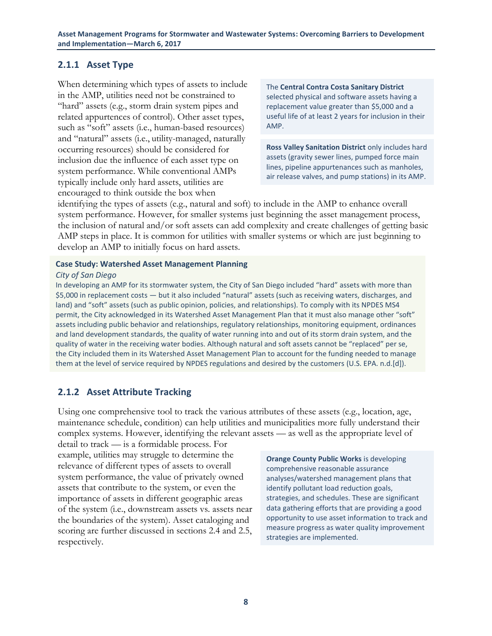### <span id="page-14-0"></span>**2.1.1 Asset Type**

When determining which types of assets to include in the AMP, utilities need not be constrained to "hard" assets (e.g., storm drain system pipes and related appurtences of control). Other asset types, such as "soft" assets (i.e., human-based resources) and "natural" assets (i.e., utility-managed, naturally occurring resources) should be considered for inclusion due the influence of each asset type on system performance. While conventional AMPs typically include only hard assets, utilities are encouraged to think outside the box when

The **Central Contra Costa Sanitary District** selected physical and software assets having a replacement value greater than \$5,000 and a useful life of at least 2 years for inclusion in their AMP.

**Ross Valley Sanitation District** only includes hard assets (gravity sewer lines, pumped force main lines, pipeline appurtenances such as manholes, air release valves, and pump stations) in its AMP.

identifying the types of assets (e.g., natural and soft) to include in the AMP to enhance overall system performance. However, for smaller systems just beginning the asset management process, the inclusion of natural and/or soft assets can add complexity and create challenges of getting basic AMP steps in place. It is common for utilities with smaller systems or which are just beginning to develop an AMP to initially focus on hard assets.

#### **Case Study: Watershed Asset Management Planning**

#### *City of San Diego*

In developing an AMP for its stormwater system, the City of San Diego included "hard" assets with more than \$5,000 in replacement costs — but it also included "natural" assets (such as receiving waters, discharges, and land) and "soft" assets (such as public opinion, policies, and relationships). To comply with its NPDES MS4 permit, the City acknowledged in its Watershed Asset Management Plan that it must also manage other "soft" assets including public behavior and relationships, regulatory relationships, monitoring equipment, ordinances and land development standards, the quality of water running into and out of its storm drain system, and the quality of water in the receiving water bodies. Although natural and soft assets cannot be "replaced" per se, the City included them in its Watershed Asset Management Plan to account for the funding needed to manage them at the level of service required by NPDES regulations and desired by the customers (U.S. EPA. n.d.[d]).

### <span id="page-14-1"></span>**2.1.2 Asset Attribute Tracking**

Using one comprehensive tool to track the various attributes of these assets (e.g., location, age, maintenance schedule, condition) can help utilities and municipalities more fully understand their complex systems. However, identifying the relevant assets — as well as the appropriate level of

detail to track — is a formidable process. For example, utilities may struggle to determine the relevance of different types of assets to overall system performance, the value of privately owned assets that contribute to the system, or even the importance of assets in different geographic areas of the system (i.e., downstream assets vs. assets near the boundaries of the system). Asset cataloging and scoring are further discussed in sections 2.4 and 2.5, respectively.

**Orange County Public Works** is developing comprehensive reasonable assurance analyses/watershed management plans that identify pollutant load reduction goals, strategies, and schedules. These are significant data gathering efforts that are providing a good opportunity to use asset information to track and measure progress as water quality improvement strategies are implemented.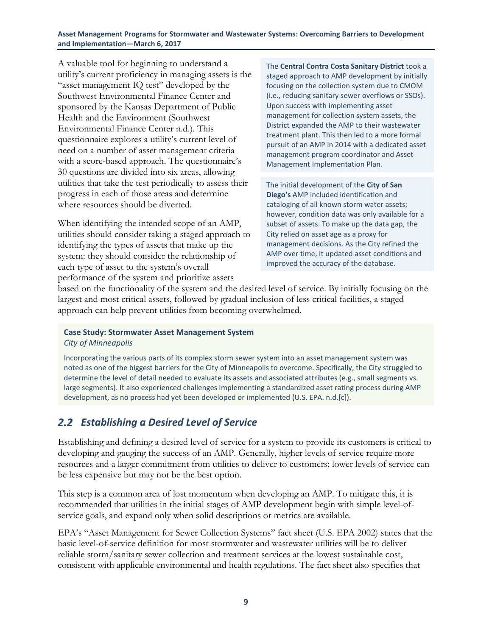A valuable tool for beginning to understand a utility's current proficiency in managing assets is the "asset management IQ test" developed by the Southwest Environmental Finance Center and sponsored by the Kansas Department of Public Health and the Environment (Southwest Environmental Finance Center n.d.). This questionnaire explores a utility's current level of need on a number of asset management criteria with a score-based approach. The questionnaire's 30 questions are divided into six areas, allowing utilities that take the test periodically to assess their progress in each of those areas and determine where resources should be diverted.

When identifying the intended scope of an AMP, utilities should consider taking a staged approach to identifying the types of assets that make up the system: they should consider the relationship of each type of asset to the system's overall performance of the system and prioritize assets

The **Central Contra Costa Sanitary District** took a staged approach to AMP development by initially focusing on the collection system due to CMOM (i.e., reducing sanitary sewer overflows or SSOs). Upon success with implementing asset management for collection system assets, the District expanded the AMP to their wastewater treatment plant. This then led to a more formal pursuit of an AMP in 2014 with a dedicated asset management program coordinator and Asset Management Implementation Plan.

The initial development of the **City of San Diego's** AMP included identification and cataloging of all known storm water assets; however, condition data was only available for a subset of assets. To make up the data gap, the City relied on asset age as a proxy for management decisions. As the City refined the AMP over time, it updated asset conditions and improved the accuracy of the database.

based on the functionality of the system and the desired level of service. By initially focusing on the largest and most critical assets, followed by gradual inclusion of less critical facilities, a staged approach can help prevent utilities from becoming overwhelmed.

#### **Case Study: Stormwater Asset Management System**

*City of Minneapolis*

Incorporating the various parts of its complex storm sewer system into an asset management system was noted as one of the biggest barriers for the City of Minneapolis to overcome. Specifically, the City struggled to determine the level of detail needed to evaluate its assets and associated attributes (e.g., small segments vs. large segments). It also experienced challenges implementing a standardized asset rating process during AMP development, as no process had yet been developed or implemented (U.S. EPA. n.d.[c]).

### <span id="page-15-0"></span>*Establishing a Desired Level of Service*

Establishing and defining a desired level of service for a system to provide its customers is critical to developing and gauging the success of an AMP. Generally, higher levels of service require more resources and a larger commitment from utilities to deliver to customers; lower levels of service can be less expensive but may not be the best option.

This step is a common area of lost momentum when developing an AMP. To mitigate this, it is recommended that utilities in the initial stages of AMP development begin with simple level-ofservice goals, and expand only when solid descriptions or metrics are available.

EPA's "Asset Management for Sewer Collection Systems" fact sheet (U.S. EPA 2002) states that the basic level-of-service definition for most stormwater and wastewater utilities will be to deliver reliable storm/sanitary sewer collection and treatment services at the lowest sustainable cost, consistent with applicable environmental and health regulations. The fact sheet also specifies that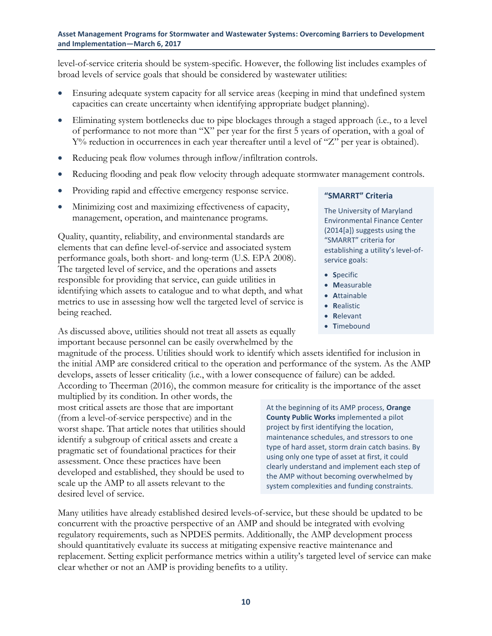level-of-service criteria should be system-specific. However, the following list includes examples of broad levels of service goals that should be considered by wastewater utilities:

- Ensuring adequate system capacity for all service areas (keeping in mind that undefined system capacities can create uncertainty when identifying appropriate budget planning).
- Eliminating system bottlenecks due to pipe blockages through a staged approach (i.e., to a level of performance to not more than "X" per year for the first 5 years of operation, with a goal of  $Y\%$  reduction in occurrences in each year thereafter until a level of "Z" per year is obtained).
- Reducing peak flow volumes through inflow/infiltration controls.
- Reducing flooding and peak flow velocity through adequate stormwater management controls.
- Providing rapid and effective emergency response service.
- Minimizing cost and maximizing effectiveness of capacity, management, operation, and maintenance programs.

Quality, quantity, reliability, and environmental standards are elements that can define level-of-service and associated system performance goals, both short- and long-term (U.S. EPA 2008). The targeted level of service, and the operations and assets responsible for providing that service, can guide utilities in identifying which assets to catalogue and to what depth, and what metrics to use in assessing how well the targeted level of service is being reached.

As discussed above, utilities should not treat all assets as equally important because personnel can be easily overwhelmed by the

### **"SMARRT" Criteria**

The University of Maryland Environmental Finance Center (2014[a]) suggests using the "SMARRT" criteria for establishing a utility's level-ofservice goals:

- **S**pecific
- **M**easurable
- **A**ttainable
- **R**ealistic
- **R**elevant
- **T**imebound

magnitude of the process. Utilities should work to identify which assets identified for inclusion in the initial AMP are considered critical to the operation and performance of the system. As the AMP develops, assets of lesser criticality (i.e., with a lower consequence of failure) can be added. According to Theerman (2016), the common measure for criticality is the importance of the asset

multiplied by its condition. In other words, the most critical assets are those that are important (from a level-of-service perspective) and in the worst shape. That article notes that utilities should identify a subgroup of critical assets and create a pragmatic set of foundational practices for their assessment. Once these practices have been developed and established, they should be used to scale up the AMP to all assets relevant to the desired level of service.

At the beginning of its AMP process, **Orange County Public Works** implemented a pilot project by first identifying the location, maintenance schedules, and stressors to one type of hard asset, storm drain catch basins. By using only one type of asset at first, it could clearly understand and implement each step of the AMP without becoming overwhelmed by system complexities and funding constraints.

Many utilities have already established desired levels-of-service, but these should be updated to be concurrent with the proactive perspective of an AMP and should be integrated with evolving regulatory requirements, such as NPDES permits. Additionally, the AMP development process should quantitatively evaluate its success at mitigating expensive reactive maintenance and replacement. Setting explicit performance metrics within a utility's targeted level of service can make clear whether or not an AMP is providing benefits to a utility.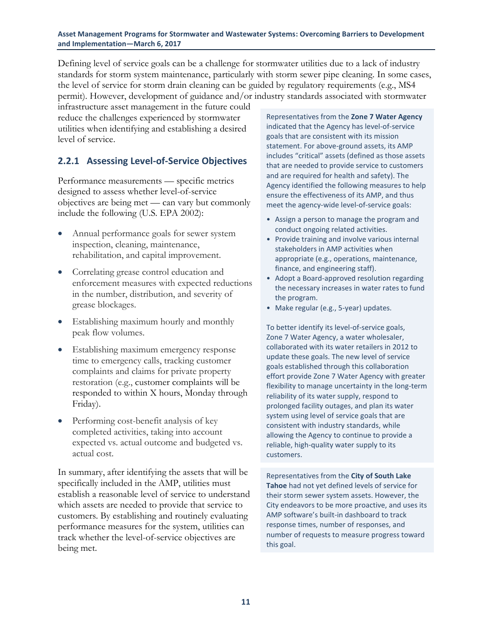Defining level of service goals can be a challenge for stormwater utilities due to a lack of industry standards for storm system maintenance, particularly with storm sewer pipe cleaning. In some cases, the level of service for storm drain cleaning can be guided by regulatory requirements (e.g., MS4 permit). However, development of guidance and/or industry standards associated with stormwater

infrastructure asset management in the future could reduce the challenges experienced by stormwater utilities when identifying and establishing a desired level of service.

### <span id="page-17-0"></span>**2.2.1 Assessing Level-of-Service Objectives**

Performance measurements — specific metrics designed to assess whether level-of-service objectives are being met — can vary but commonly include the following (U.S. EPA 2002):

- Annual performance goals for sewer system inspection, cleaning, maintenance, rehabilitation, and capital improvement.
- Correlating grease control education and enforcement measures with expected reductions in the number, distribution, and severity of grease blockages.
- Establishing maximum hourly and monthly peak flow volumes.
- Establishing maximum emergency response time to emergency calls, tracking customer complaints and claims for private property restoration (e.g., customer complaints will be responded to within X hours, Monday through Friday).
- Performing cost-benefit analysis of key completed activities, taking into account expected vs. actual outcome and budgeted vs. actual cost.

In summary, after identifying the assets that will be specifically included in the AMP, utilities must establish a reasonable level of service to understand which assets are needed to provide that service to customers. By establishing and routinely evaluating performance measures for the system, utilities can track whether the level-of-service objectives are being met.

Representatives from the **Zone 7 Water Agency** indicated that the Agency has level-of-service goals that are consistent with its mission statement. For above-ground assets, its AMP includes "critical" assets (defined as those assets that are needed to provide service to customers and are required for health and safety). The Agency identified the following measures to help ensure the effectiveness of its AMP, and thus meet the agency-wide level-of-service goals:

- Assign a person to manage the program and conduct ongoing related activities.
- Provide training and involve various internal stakeholders in AMP activities when appropriate (e.g., operations, maintenance, finance, and engineering staff).
- Adopt a Board-approved resolution regarding the necessary increases in water rates to fund the program.
- Make regular (e.g., 5-year) updates.

To better identify its level-of-service goals, Zone 7 Water Agency, a water wholesaler, collaborated with its water retailers in 2012 to update these goals. The new level of service goals established through this collaboration effort provide Zone 7 Water Agency with greater flexibility to manage uncertainty in the long-term reliability of its water supply, respond to prolonged facility outages, and plan its water system using level of service goals that are consistent with industry standards, while allowing the Agency to continue to provide a reliable, high-quality water supply to its customers.

Representatives from the **City of South Lake Tahoe** had not yet defined levels of service for their storm sewer system assets. However, the City endeavors to be more proactive, and uses its AMP software's built-in dashboard to track response times, number of responses, and number of requests to measure progress toward this goal.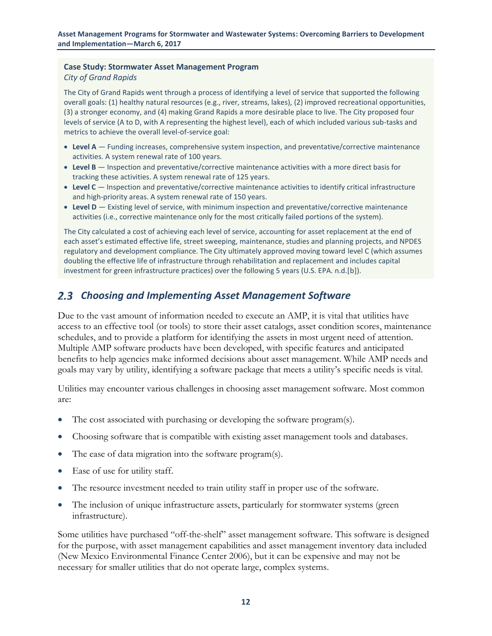#### **Case Study: Stormwater Asset Management Program**

#### *City of Grand Rapids*

The City of Grand Rapids went through a process of identifying a level of service that supported the following overall goals: (1) healthy natural resources (e.g., river, streams, lakes), (2) improved recreational opportunities, (3) a stronger economy, and (4) making Grand Rapids a more desirable place to live. The City proposed four levels of service (A to D, with A representing the highest level), each of which included various sub-tasks and metrics to achieve the overall level-of-service goal:

- **Level A** Funding increases, comprehensive system inspection, and preventative/corrective maintenance activities. A system renewal rate of 100 years.
- **Level B** Inspection and preventative/corrective maintenance activities with a more direct basis for tracking these activities. A system renewal rate of 125 years.
- **Level C** Inspection and preventative/corrective maintenance activities to identify critical infrastructure and high-priority areas. A system renewal rate of 150 years.
- **Level D** Existing level of service, with minimum inspection and preventative/corrective maintenance activities (i.e., corrective maintenance only for the most critically failed portions of the system).

The City calculated a cost of achieving each level of service, accounting for asset replacement at the end of each asset's estimated effective life, street sweeping, maintenance, studies and planning projects, and NPDES regulatory and development compliance. The City ultimately approved moving toward level C (which assumes doubling the effective life of infrastructure through rehabilitation and replacement and includes capital investment for green infrastructure practices) over the following 5 years (U.S. EPA. n.d.[b]).

### <span id="page-18-0"></span>*Choosing and Implementing Asset Management Software*

Due to the vast amount of information needed to execute an AMP, it is vital that utilities have access to an effective tool (or tools) to store their asset catalogs, asset condition scores, maintenance schedules, and to provide a platform for identifying the assets in most urgent need of attention. Multiple AMP software products have been developed, with specific features and anticipated benefits to help agencies make informed decisions about asset management. While AMP needs and goals may vary by utility, identifying a software package that meets a utility's specific needs is vital.

Utilities may encounter various challenges in choosing asset management software. Most common are:

- The cost associated with purchasing or developing the software program(s).
- Choosing software that is compatible with existing asset management tools and databases.
- The ease of data migration into the software program(s).
- Ease of use for utility staff.
- The resource investment needed to train utility staff in proper use of the software.
- The inclusion of unique infrastructure assets, particularly for stormwater systems (green infrastructure).

Some utilities have purchased "off-the-shelf" asset management software. This software is designed for the purpose, with asset management capabilities and asset management inventory data included (New Mexico Environmental Finance Center 2006), but it can be expensive and may not be necessary for smaller utilities that do not operate large, complex systems.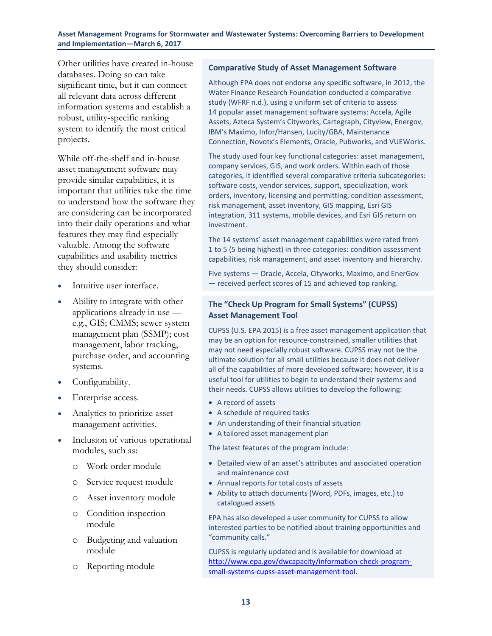Other utilities have created in-house databases. Doing so can take significant time, but it can connect all relevant data across different information systems and establish a robust, utility-specific ranking system to identify the most critical projects.

While off-the-shelf and in-house asset management software may provide similar capabilities, it is important that utilities take the time to understand how the software they are considering can be incorporated into their daily operations and what features they may find especially valuable. Among the software capabilities and usability metrics they should consider:

- Intuitive user interface.
- Ability to integrate with other applications already in use e.g., GIS; CMMS; sewer system management plan (SSMP); cost management, labor tracking, purchase order, and accounting systems.
- Configurability.
- Enterprise access.
- Analytics to prioritize asset management activities.
- Inclusion of various operational modules, such as:
	- o Work order module
	- o Service request module
	- o Asset inventory module
	- o Condition inspection module
	- o Budgeting and valuation module
	- o Reporting module

#### **Comparative Study of Asset Management Software**

Although EPA does not endorse any specific software, in 2012, the Water Finance Research Foundation conducted a comparative study (WFRF n.d.), using a uniform set of criteria to assess 14 popular asset management software systems: Accela, Agile Assets, Azteca System's Cityworks, Cartegraph, Cityview, Energov, IBM's Maximo, Infor/Hansen, Lucity/GBA, Maintenance Connection, Novotx's Elements, Oracle, Pubworks, and VUEWorks.

The study used four key functional categories: asset management, company services, GIS, and work orders. Within each of those categories, it identified several comparative criteria subcategories: software costs, vendor services, support, specialization, work orders, inventory, licensing and permitting, condition assessment, risk management, asset inventory, GIS mapping, Esri GIS integration, 311 systems, mobile devices, and Esri GIS return on investment.

The 14 systems' asset management capabilities were rated from 1 to 5 (5 being highest) in three categories: condition assessment capabilities, risk management, and asset inventory and hierarchy.

Five systems — Oracle, Accela, Cityworks, Maximo, and EnerGov — received perfect scores of 15 and achieved top ranking.

### **The "Check Up Program for Small Systems" (CUPSS) Asset Management Tool**

CUPSS (U.S. EPA 2015) is a free asset management application that may be an option for resource-constrained, smaller utilities that may not need especially robust software. CUPSS may not be the ultimate solution for all small utilities because it does not deliver all of the capabilities of more developed software; however, it is a useful tool for utilities to begin to understand their systems and their needs. CUPSS allows utilities to develop the following:

- A record of assets
- A schedule of required tasks
- An understanding of their financial situation
- A tailored asset management plan

The latest features of the program include:

- Detailed view of an asset's attributes and associated operation and maintenance cost
- Annual reports for total costs of assets
- Ability to attach documents (Word, PDFs, images, etc.) to catalogued assets

EPA has also developed a user community for CUPSS to allow interested parties to be notified about training opportunities and "community calls."

CUPSS is regularly updated and is available for download at [http://www.epa.gov/dwcapacity/information-check-program](http://www.epa.gov/dwcapacity/information-check-program-small-systems-cupss-asset-management-tool)[small-systems-cupss-asset-management-tool.](http://www.epa.gov/dwcapacity/information-check-program-small-systems-cupss-asset-management-tool)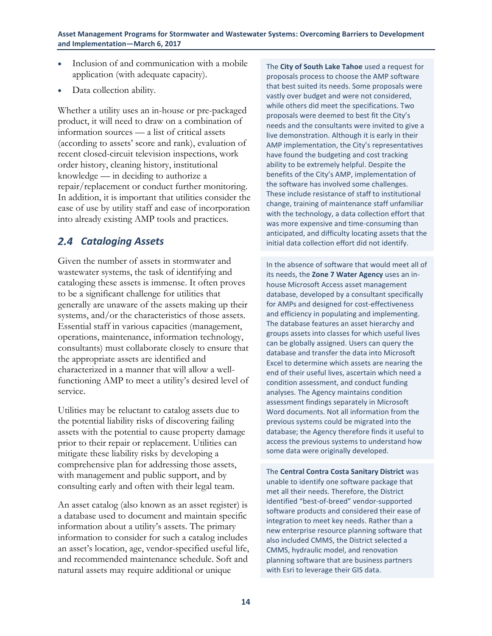- Inclusion of and communication with a mobile application (with adequate capacity).
- Data collection ability.

Whether a utility uses an in-house or pre-packaged product, it will need to draw on a combination of information sources — a list of critical assets (according to assets' score and rank), evaluation of recent closed-circuit television inspections, work order history, cleaning history, institutional knowledge — in deciding to authorize a repair/replacement or conduct further monitoring. In addition, it is important that utilities consider the ease of use by utility staff and ease of incorporation into already existing AMP tools and practices.

### <span id="page-20-0"></span>*Cataloging Assets*

Given the number of assets in stormwater and wastewater systems, the task of identifying and cataloging these assets is immense. It often proves to be a significant challenge for utilities that generally are unaware of the assets making up their systems, and/or the characteristics of those assets. Essential staff in various capacities (management, operations, maintenance, information technology, consultants) must collaborate closely to ensure that the appropriate assets are identified and characterized in a manner that will allow a wellfunctioning AMP to meet a utility's desired level of service.

Utilities may be reluctant to catalog assets due to the potential liability risks of discovering failing assets with the potential to cause property damage prior to their repair or replacement. Utilities can mitigate these liability risks by developing a comprehensive plan for addressing those assets, with management and public support, and by consulting early and often with their legal team.

An asset catalog (also known as an asset register) is a database used to document and maintain specific information about a utility's assets. The primary information to consider for such a catalog includes an asset's location, age, vendor-specified useful life, and recommended maintenance schedule. Soft and natural assets may require additional or unique

The **City of South Lake Tahoe** used a request for proposals process to choose the AMP software that best suited its needs. Some proposals were vastly over budget and were not considered, while others did meet the specifications. Two proposals were deemed to best fit the City's needs and the consultants were invited to give a live demonstration. Although it is early in their AMP implementation, the City's representatives have found the budgeting and cost tracking ability to be extremely helpful. Despite the benefits of the City's AMP, implementation of the software has involved some challenges. These include resistance of staff to institutional change, training of maintenance staff unfamiliar with the technology, a data collection effort that was more expensive and time-consuming than anticipated, and difficulty locating assets that the initial data collection effort did not identify.

In the absence of software that would meet all of its needs, the **Zone 7 Water Agency** uses an inhouse Microsoft Access asset management database, developed by a consultant specifically for AMPs and designed for cost-effectiveness and efficiency in populating and implementing. The database features an asset hierarchy and groups assets into classes for which useful lives can be globally assigned. Users can query the database and transfer the data into Microsoft Excel to determine which assets are nearing the end of their useful lives, ascertain which need a condition assessment, and conduct funding analyses. The Agency maintains condition assessment findings separately in Microsoft Word documents. Not all information from the previous systems could be migrated into the database; the Agency therefore finds it useful to access the previous systems to understand how some data were originally developed.

The **Central Contra Costa Sanitary District** was unable to identify one software package that met all their needs. Therefore, the District identified "best-of-breed" vendor-supported software products and considered their ease of integration to meet key needs. Rather than a new enterprise resource planning software that also included CMMS, the District selected a CMMS, hydraulic model, and renovation planning software that are business partners with Esri to leverage their GIS data.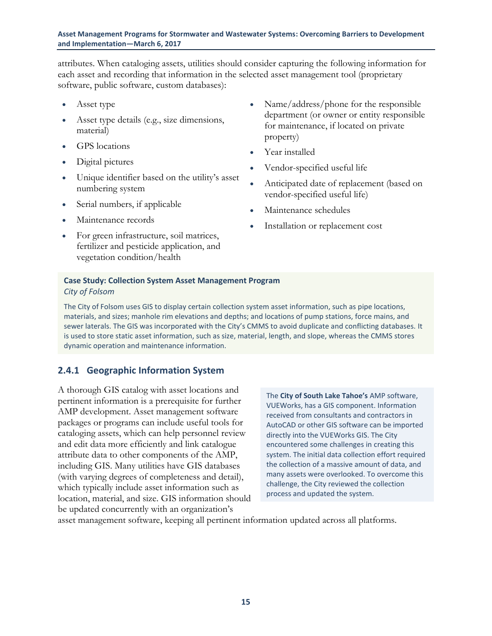attributes. When cataloging assets, utilities should consider capturing the following information for each asset and recording that information in the selected asset management tool (proprietary software, public software, custom databases):

- Asset type
- Asset type details (e.g., size dimensions, material)
- GPS locations
- Digital pictures
- Unique identifier based on the utility's asset numbering system
- Serial numbers, if applicable
- Maintenance records
- For green infrastructure, soil matrices, fertilizer and pesticide application, and vegetation condition/health
- Name/address/phone for the responsible department (or owner or entity responsible for maintenance, if located on private property)
- Year installed
- Vendor-specified useful life
- Anticipated date of replacement (based on vendor-specified useful life)
- Maintenance schedules
- Installation or replacement cost

#### **Case Study: Collection System Asset Management Program** *City of Folsom*

The City of Folsom uses GIS to display certain collection system asset information, such as pipe locations, materials, and sizes; manhole rim elevations and depths; and locations of pump stations, force mains, and sewer laterals. The GIS was incorporated with the City's CMMS to avoid duplicate and conflicting databases. It is used to store static asset information, such as size, material, length, and slope, whereas the CMMS stores dynamic operation and maintenance information.

### <span id="page-21-0"></span>**2.4.1 Geographic Information System**

A thorough GIS catalog with asset locations and pertinent information is a prerequisite for further AMP development. Asset management software packages or programs can include useful tools for cataloging assets, which can help personnel review and edit data more efficiently and link catalogue attribute data to other components of the AMP, including GIS. Many utilities have GIS databases (with varying degrees of completeness and detail), which typically include asset information such as location, material, and size. GIS information should be updated concurrently with an organization's

The **City of South Lake Tahoe's** AMP software, VUEWorks, has a GIS component. Information received from consultants and contractors in AutoCAD or other GIS software can be imported directly into the VUEWorks GIS. The City encountered some challenges in creating this system. The initial data collection effort required the collection of a massive amount of data, and many assets were overlooked. To overcome this challenge, the City reviewed the collection process and updated the system.

asset management software, keeping all pertinent information updated across all platforms.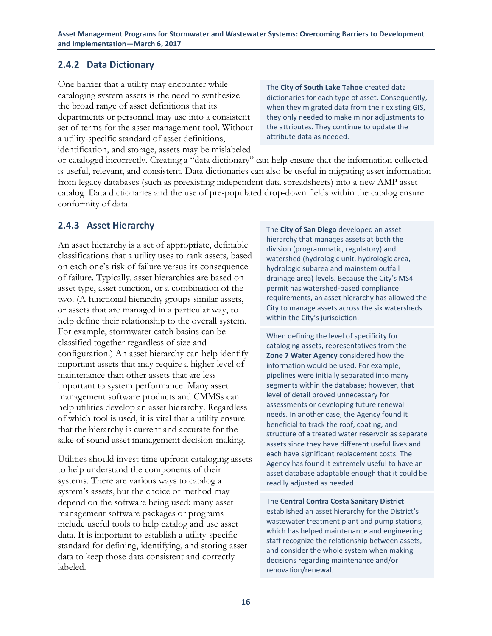### <span id="page-22-0"></span>**2.4.2 Data Dictionary**

One barrier that a utility may encounter while cataloging system assets is the need to synthesize the broad range of asset definitions that its departments or personnel may use into a consistent set of terms for the asset management tool. Without a utility-specific standard of asset definitions, identification, and storage, assets may be mislabeled

The **City of South Lake Tahoe** created data dictionaries for each type of asset. Consequently, when they migrated data from their existing GIS, they only needed to make minor adjustments to the attributes. They continue to update the attribute data as needed.

or cataloged incorrectly. Creating a "data dictionary" can help ensure that the information collected is useful, relevant, and consistent. Data dictionaries can also be useful in migrating asset information from legacy databases (such as preexisting independent data spreadsheets) into a new AMP asset catalog. Data dictionaries and the use of pre-populated drop-down fields within the catalog ensure conformity of data.

### <span id="page-22-1"></span>**2.4.3 Asset Hierarchy**

An asset hierarchy is a set of appropriate, definable classifications that a utility uses to rank assets, based on each one's risk of failure versus its consequence of failure. Typically, asset hierarchies are based on asset type, asset function, or a combination of the two. (A functional hierarchy groups similar assets, or assets that are managed in a particular way, to help define their relationship to the overall system. For example, stormwater catch basins can be classified together regardless of size and configuration.) An asset hierarchy can help identify important assets that may require a higher level of maintenance than other assets that are less important to system performance. Many asset management software products and CMMSs can help utilities develop an asset hierarchy. Regardless of which tool is used, it is vital that a utility ensure that the hierarchy is current and accurate for the sake of sound asset management decision-making.

Utilities should invest time upfront cataloging assets to help understand the components of their systems. There are various ways to catalog a system's assets, but the choice of method may depend on the software being used: many asset management software packages or programs include useful tools to help catalog and use asset data. It is important to establish a utility-specific standard for defining, identifying, and storing asset data to keep those data consistent and correctly labeled.

The **City of San Diego** developed an asset hierarchy that manages assets at both the division (programmatic, regulatory) and watershed (hydrologic unit, hydrologic area, hydrologic subarea and mainstem outfall drainage area) levels. Because the City's MS4 permit has watershed-based compliance requirements, an asset hierarchy has allowed the City to manage assets across the six watersheds within the City's jurisdiction.

When defining the level of specificity for cataloging assets, representatives from the **Zone 7 Water Agency** considered how the information would be used. For example, pipelines were initially separated into many segments within the database; however, that level of detail proved unnecessary for assessments or developing future renewal needs. In another case, the Agency found it beneficial to track the roof, coating, and structure of a treated water reservoir as separate assets since they have different useful lives and each have significant replacement costs. The Agency has found it extremely useful to have an asset database adaptable enough that it could be readily adjusted as needed.

The **Central Contra Costa Sanitary District** established an asset hierarchy for the District's wastewater treatment plant and pump stations, which has helped maintenance and engineering staff recognize the relationship between assets, and consider the whole system when making decisions regarding maintenance and/or renovation/renewal.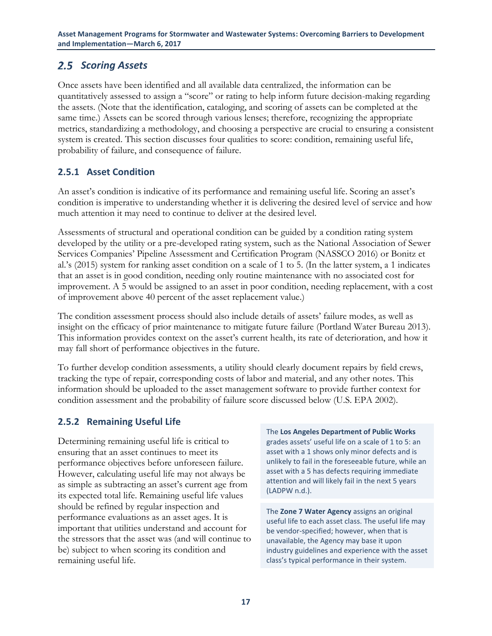### <span id="page-23-2"></span><span id="page-23-0"></span>2.5 Scoring Assets

Once assets have been identified and all available data centralized, the information can be quantitatively assessed to assign a "score" or rating to help inform future decision-making regarding the assets. (Note that the identification, cataloging, and scoring of assets can be completed at the same time.) Assets can be scored through various lenses; therefore, recognizing the appropriate metrics, standardizing a methodology, and choosing a perspective are crucial to ensuring a consistent system is created. This section discusses four qualities to score: condition, remaining useful life, probability of failure, and consequence of failure.

### <span id="page-23-1"></span>**2.5.1 Asset Condition**

An asset's condition is indicative of its performance and remaining useful life. Scoring an asset's condition is imperative to understanding whether it is delivering the desired level of service and how much attention it may need to continue to deliver at the desired level.

Assessments of structural and operational condition can be guided by a condition rating system developed by the utility or a pre-developed rating system, such as the National Association of Sewer Services Companies' Pipeline Assessment and Certification Program (NASSCO 2016) or Bonitz et al.'s (2015) system for ranking asset condition on a scale of 1 to 5. (In the latter system, a 1 indicates that an asset is in good condition, needing only routine maintenance with no associated cost for improvement. A 5 would be assigned to an asset in poor condition, needing replacement, with a cost of improvement above 40 percent of the asset replacement value.)

The condition assessment process should also include details of assets' failure modes, as well as insight on the efficacy of prior maintenance to mitigate future failure (Portland Water Bureau 2013). This information provides context on the asset's current health, its rate of deterioration, and how it may fall short of performance objectives in the future.

To further develop condition assessments, a utility should clearly document repairs by field crews, tracking the type of repair, corresponding costs of labor and material, and any other notes. This information should be uploaded to the asset management software to provide further context for condition assessment and the probability of failure score discussed below (U.S. EPA 2002).

### **2.5.2 Remaining Useful Life**

Determining remaining useful life is critical to ensuring that an asset continues to meet its performance objectives before unforeseen failure. However, calculating useful life may not always be as simple as subtracting an asset's current age from its expected total life. Remaining useful life values should be refined by regular inspection and performance evaluations as an asset ages. It is important that utilities understand and account for the stressors that the asset was (and will continue to be) subject to when scoring its condition and remaining useful life.

The **Los Angeles Department of Public Works** grades assets' useful life on a scale of 1 to 5: an asset with a 1 shows only minor defects and is unlikely to fail in the foreseeable future, while an asset with a 5 has defects requiring immediate attention and will likely fail in the next 5 years (LADPW n.d.).

The **Zone 7 Water Agency** assigns an original useful life to each asset class. The useful life may be vendor-specified; however, when that is unavailable, the Agency may base it upon industry guidelines and experience with the asset class's typical performance in their system.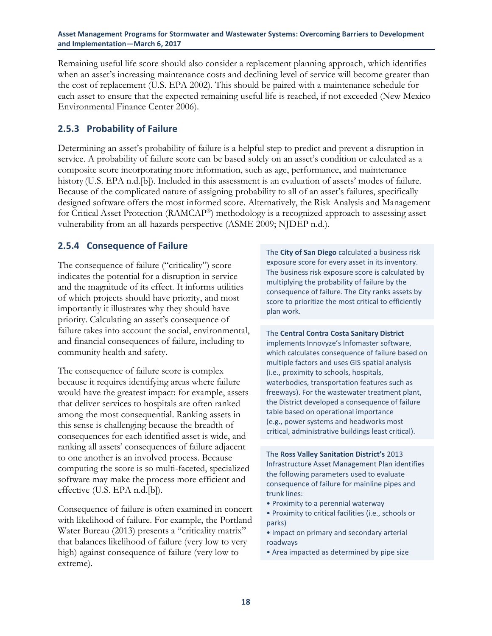<span id="page-24-1"></span>Remaining useful life score should also consider a replacement planning approach, which identifies when an asset's increasing maintenance costs and declining level of service will become greater than the cost of replacement (U.S. EPA 2002). This should be paired with a maintenance schedule for each asset to ensure that the expected remaining useful life is reached, if not exceeded (New Mexico Environmental Finance Center 2006).

### <span id="page-24-0"></span>**2.5.3 Probability of Failure**

Determining an asset's probability of failure is a helpful step to predict and prevent a disruption in service. A probability of failure score can be based solely on an asset's condition or calculated as a composite score incorporating more information, such as age, performance, and maintenance history (U.S. EPA n.d.[b]). Included in this assessment is an evaluation of assets' modes of failure. Because of the complicated nature of assigning probability to all of an asset's failures, specifically designed software offers the most informed score. Alternatively, the Risk Analysis and Management for Critical Asset Protection (RAMCAP®) methodology is a recognized approach to assessing asset vulnerability from an all-hazards perspective (ASME 2009; NJDEP n.d.).

### **2.5.4 Consequence of Failure**

The consequence of failure ("criticality") score indicates the potential for a disruption in service and the magnitude of its effect. It informs utilities of which projects should have priority, and most importantly it illustrates why they should have priority. Calculating an asset's consequence of failure takes into account the social, environmental, and financial consequences of failure, including to community health and safety.

The consequence of failure score is complex because it requires identifying areas where failure would have the greatest impact: for example, assets that deliver services to hospitals are often ranked among the most consequential. Ranking assets in this sense is challenging because the breadth of consequences for each identified asset is wide, and ranking all assets' consequences of failure adjacent to one another is an involved process. Because computing the score is so multi-faceted, specialized software may make the process more efficient and effective (U.S. EPA n.d.[b]).

Consequence of failure is often examined in concert with likelihood of failure. For example, the Portland Water Bureau (2013) presents a "criticality matrix" that balances likelihood of failure (very low to very high) against consequence of failure (very low to extreme).

The **City of San Diego** calculated a business risk exposure score for every asset in its inventory. The business risk exposure score is calculated by multiplying the probability of failure by the consequence of failure. The City ranks assets by score to prioritize the most critical to efficiently plan work.

The **Central Contra Costa Sanitary District** implements Innovyze's Infomaster software, which calculates consequence of failure based on multiple factors and uses GIS spatial analysis (i.e., proximity to schools, hospitals, waterbodies, transportation features such as freeways). For the wastewater treatment plant, the District developed a consequence of failure table based on operational importance (e.g., power systems and headworks most critical, administrative buildings least critical).

The **Ross Valley Sanitation District's** 2013 Infrastructure Asset Management Plan identifies the following parameters used to evaluate consequence of failure for mainline pipes and trunk lines:

- Proximity to a perennial waterway
- Proximity to critical facilities (i.e., schools or parks)
- Impact on primary and secondary arterial roadways
- Area impacted as determined by pipe size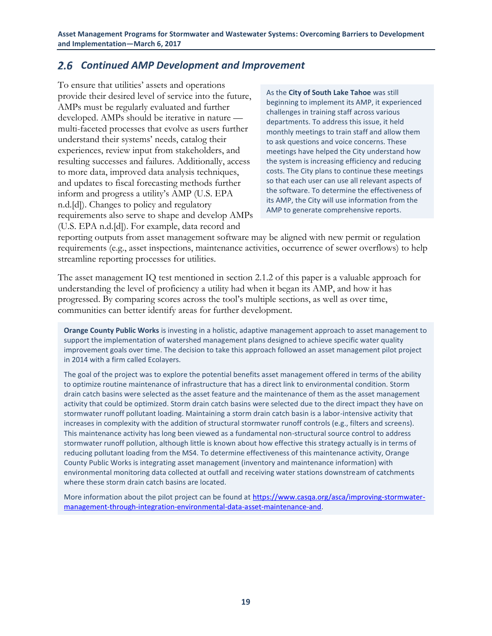### <span id="page-25-0"></span>*Continued AMP Development and Improvement*

To ensure that utilities' assets and operations provide their desired level of service into the future, AMPs must be regularly evaluated and further developed. AMPs should be iterative in nature multi-faceted processes that evolve as users further understand their systems' needs, catalog their experiences, review input from stakeholders, and resulting successes and failures. Additionally, access to more data, improved data analysis techniques, and updates to fiscal forecasting methods further inform and progress a utility's AMP (U.S. EPA n.d.[d]). Changes to policy and regulatory requirements also serve to shape and develop AMPs (U.S. EPA n.d.[d]). For example, data record and

As the **City of South Lake Tahoe** was still beginning to implement its AMP, it experienced challenges in training staff across various departments. To address this issue, it held monthly meetings to train staff and allow them to ask questions and voice concerns. These meetings have helped the City understand how the system is increasing efficiency and reducing costs. The City plans to continue these meetings so that each user can use all relevant aspects of the software. To determine the effectiveness of its AMP, the City will use information from the AMP to generate comprehensive reports.

reporting outputs from asset management software may be aligned with new permit or regulation requirements (e.g., asset inspections, maintenance activities, occurrence of sewer overflows) to help streamline reporting processes for utilities.

The asset management IQ test mentioned in section 2.1.2 of this paper is a valuable approach for understanding the level of proficiency a utility had when it began its AMP, and how it has progressed. By comparing scores across the tool's multiple sections, as well as over time, communities can better identify areas for further development.

**Orange County Public Works** is investing in a holistic, adaptive management approach to asset management to support the implementation of watershed management plans designed to achieve specific water quality improvement goals over time. The decision to take this approach followed an asset management pilot project in 2014 with a firm called Ecolayers.

The goal of the project was to explore the potential benefits asset management offered in terms of the ability to optimize routine maintenance of infrastructure that has a direct link to environmental condition. Storm drain catch basins were selected as the asset feature and the maintenance of them as the asset management activity that could be optimized. Storm drain catch basins were selected due to the direct impact they have on stormwater runoff pollutant loading. Maintaining a storm drain catch basin is a labor-intensive activity that increases in complexity with the addition of structural stormwater runoff controls (e.g., filters and screens). This maintenance activity has long been viewed as a fundamental non-structural source control to address stormwater runoff pollution, although little is known about how effective this strategy actually is in terms of reducing pollutant loading from the MS4. To determine effectiveness of this maintenance activity, Orange County Public Works is integrating asset management (inventory and maintenance information) with environmental monitoring data collected at outfall and receiving water stations downstream of catchments where these storm drain catch basins are located.

More information about the pilot project can be found a[t https://www.casqa.org/asca/improving-stormwater](https://www.casqa.org/asca/improving-stormwater-management-through-integration-environmental-data-asset-maintenance-and)[management-through-integration-environmental-data-asset-maintenance-and.](https://www.casqa.org/asca/improving-stormwater-management-through-integration-environmental-data-asset-maintenance-and)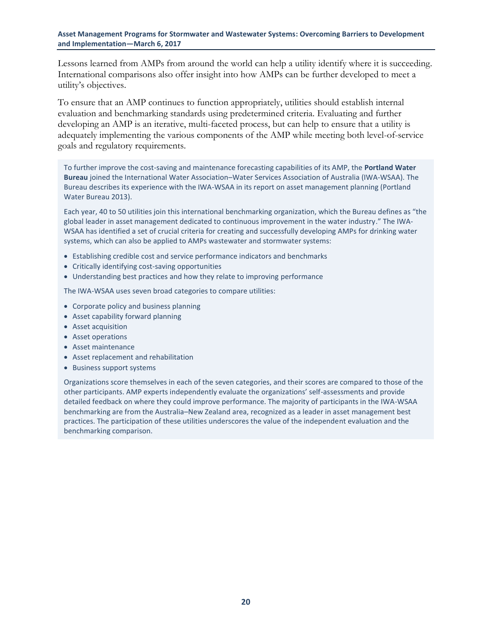Lessons learned from AMPs from around the world can help a utility identify where it is succeeding. International comparisons also offer insight into how AMPs can be further developed to meet a utility's objectives.

To ensure that an AMP continues to function appropriately, utilities should establish internal evaluation and benchmarking standards using predetermined criteria. Evaluating and further developing an AMP is an iterative, multi-faceted process, but can help to ensure that a utility is adequately implementing the various components of the AMP while meeting both level-of-service goals and regulatory requirements.

To further improve the cost-saving and maintenance forecasting capabilities of its AMP, the **Portland Water Bureau** joined the International Water Association–Water Services Association of Australia (IWA-WSAA). The Bureau describes its experience with the IWA-WSAA in its report on asset management planning (Portland Water Bureau 2013).

Each year, 40 to 50 utilities join this international benchmarking organization, which the Bureau defines as "the global leader in asset management dedicated to continuous improvement in the water industry." The IWA-WSAA has identified a set of crucial criteria for creating and successfully developing AMPs for drinking water systems, which can also be applied to AMPs wastewater and stormwater systems:

- Establishing credible cost and service performance indicators and benchmarks
- Critically identifying cost-saving opportunities
- Understanding best practices and how they relate to improving performance

The IWA-WSAA uses seven broad categories to compare utilities:

- Corporate policy and business planning
- Asset capability forward planning
- Asset acquisition
- Asset operations
- Asset maintenance
- Asset replacement and rehabilitation
- Business support systems

Organizations score themselves in each of the seven categories, and their scores are compared to those of the other participants. AMP experts independently evaluate the organizations' self-assessments and provide detailed feedback on where they could improve performance. The majority of participants in the IWA-WSAA benchmarking are from the Australia–New Zealand area, recognized as a leader in asset management best practices. The participation of these utilities underscores the value of the independent evaluation and the benchmarking comparison.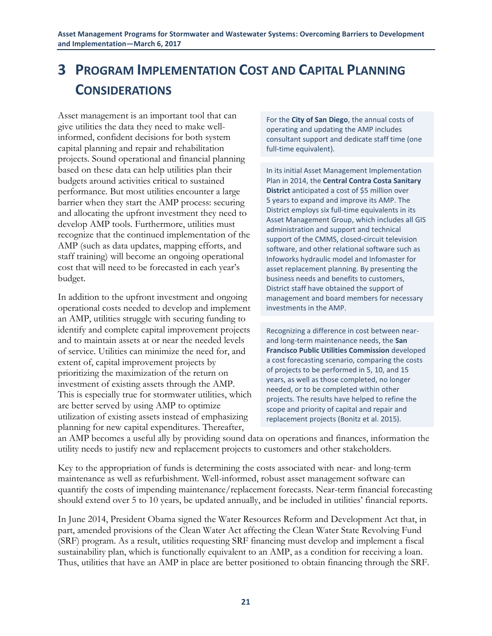## <span id="page-27-0"></span>**3 PROGRAM IMPLEMENTATION COST AND CAPITAL PLANNING CONSIDERATIONS**

Asset management is an important tool that can give utilities the data they need to make wellinformed, confident decisions for both system capital planning and repair and rehabilitation projects. Sound operational and financial planning based on these data can help utilities plan their budgets around activities critical to sustained performance. But most utilities encounter a large barrier when they start the AMP process: securing and allocating the upfront investment they need to develop AMP tools. Furthermore, utilities must recognize that the continued implementation of the AMP (such as data updates, mapping efforts, and staff training) will become an ongoing operational cost that will need to be forecasted in each year's budget.

In addition to the upfront investment and ongoing operational costs needed to develop and implement an AMP, utilities struggle with securing funding to identify and complete capital improvement projects and to maintain assets at or near the needed levels of service. Utilities can minimize the need for, and extent of, capital improvement projects by prioritizing the maximization of the return on investment of existing assets through the AMP. This is especially true for stormwater utilities, which are better served by using AMP to optimize utilization of existing assets instead of emphasizing planning for new capital expenditures. Thereafter,

For the **City of San Diego**, the annual costs of operating and updating the AMP includes consultant support and dedicate staff time (one full-time equivalent).

In its initial Asset Management Implementation Plan in 2014, the **Central Contra Costa Sanitary District** anticipated a cost of \$5 million over 5 years to expand and improve its AMP. The District employs six full-time equivalents in its Asset Management Group, which includes all GIS administration and support and technical support of the CMMS, closed-circuit television software, and other relational software such as Infoworks hydraulic model and Infomaster for asset replacement planning. By presenting the business needs and benefits to customers, District staff have obtained the support of management and board members for necessary investments in the AMP.

Recognizing a difference in cost between nearand long-term maintenance needs, the **San Francisco Public Utilities Commission** developed a cost forecasting scenario, comparing the costs of projects to be performed in 5, 10, and 15 years, as well as those completed, no longer needed, or to be completed within other projects. The results have helped to refine the scope and priority of capital and repair and replacement projects (Bonitz et al. 2015).

an AMP becomes a useful ally by providing sound data on operations and finances, information the utility needs to justify new and replacement projects to customers and other stakeholders.

Key to the appropriation of funds is determining the costs associated with near- and long-term maintenance as well as refurbishment. Well-informed, robust asset management software can quantify the costs of impending maintenance/replacement forecasts. Near-term financial forecasting should extend over 5 to 10 years, be updated annually, and be included in utilities' financial reports.

In June 2014, President Obama signed the Water Resources Reform and Development Act that, in part, amended provisions of the Clean Water Act affecting the Clean Water State Revolving Fund (SRF) program. As a result, utilities requesting SRF financing must develop and implement a fiscal sustainability plan, which is functionally equivalent to an AMP, as a condition for receiving a loan. Thus, utilities that have an AMP in place are better positioned to obtain financing through the SRF.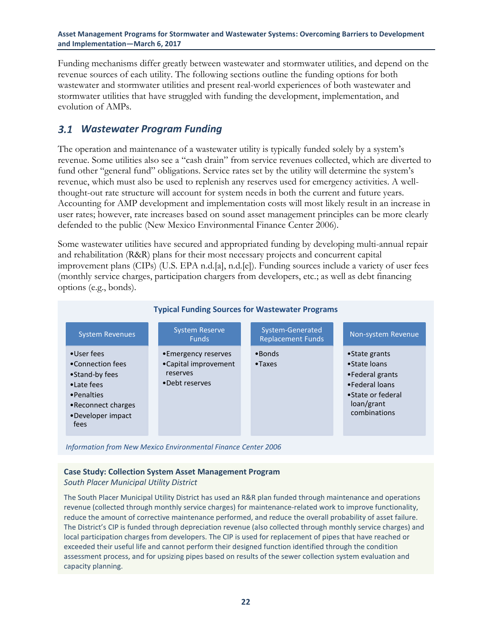Funding mechanisms differ greatly between wastewater and stormwater utilities, and depend on the revenue sources of each utility. The following sections outline the funding options for both wastewater and stormwater utilities and present real-world experiences of both wastewater and stormwater utilities that have struggled with funding the development, implementation, and evolution of AMPs.

### <span id="page-28-0"></span>*Wastewater Program Funding*

The operation and maintenance of a wastewater utility is typically funded solely by a system's revenue. Some utilities also see a "cash drain" from service revenues collected, which are diverted to fund other "general fund" obligations. Service rates set by the utility will determine the system's revenue, which must also be used to replenish any reserves used for emergency activities. A wellthought-out rate structure will account for system needs in both the current and future years. Accounting for AMP development and implementation costs will most likely result in an increase in user rates; however, rate increases based on sound asset management principles can be more clearly defended to the public (New Mexico Environmental Finance Center 2006).

Some wastewater utilities have secured and appropriated funding by developing multi-annual repair and rehabilitation (R&R) plans for their most necessary projects and concurrent capital improvement plans (CIPs) (U.S. EPA n.d.[a], n.d.[e]). Funding sources include a variety of user fees (monthly service charges, participation chargers from developers, etc.; as well as debt financing options (e.g., bonds).



*Information from New Mexico Environmental Finance Center 2006*

#### **Case Study: Collection System Asset Management Program**

#### *South Placer Municipal Utility District*

The South Placer Municipal Utility District has used an R&R plan funded through maintenance and operations revenue (collected through monthly service charges) for maintenance-related work to improve functionality, reduce the amount of corrective maintenance performed, and reduce the overall probability of asset failure. The District's CIP is funded through depreciation revenue (also collected through monthly service charges) and local participation charges from developers. The CIP is used for replacement of pipes that have reached or exceeded their useful life and cannot perform their designed function identified through the condition assessment process, and for upsizing pipes based on results of the sewer collection system evaluation and capacity planning.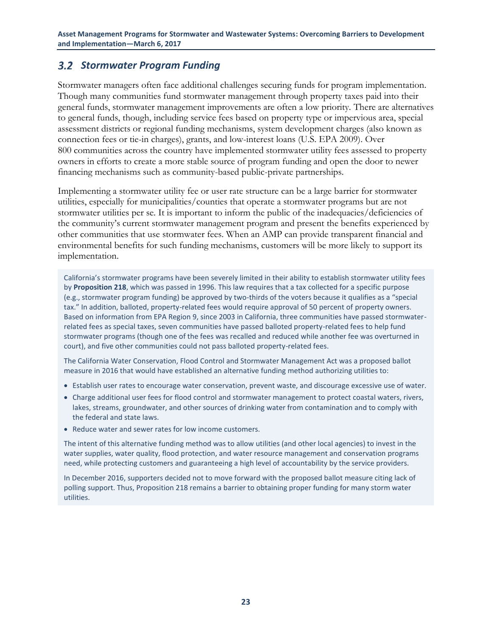### <span id="page-29-0"></span>*Stormwater Program Funding*

Stormwater managers often face additional challenges securing funds for program implementation. Though many communities fund stormwater management through property taxes paid into their general funds, stormwater management improvements are often a low priority. There are alternatives to general funds, though, including service fees based on property type or impervious area, special assessment districts or regional funding mechanisms, system development charges (also known as connection fees or tie-in charges), grants, and low-interest loans (U.S. EPA 2009). Over 800 communities across the country have implemented stormwater utility fees assessed to property owners in efforts to create a more stable source of program funding and open the door to newer financing mechanisms such as community-based public-private partnerships.

Implementing a stormwater utility fee or user rate structure can be a large barrier for stormwater utilities, especially for municipalities/counties that operate a stormwater programs but are not stormwater utilities per se. It is important to inform the public of the inadequacies/deficiencies of the community's current stormwater management program and present the benefits experienced by other communities that use stormwater fees. When an AMP can provide transparent financial and environmental benefits for such funding mechanisms, customers will be more likely to support its implementation.

California's stormwater programs have been severely limited in their ability to establish stormwater utility fees by **Proposition 218**, which was passed in 1996. This law requires that a tax collected for a specific purpose (e.g., stormwater program funding) be approved by two-thirds of the voters because it qualifies as a "special tax." In addition, balloted, property-related fees would require approval of 50 percent of property owners. Based on information from EPA Region 9, since 2003 in California, three communities have passed stormwaterrelated fees as special taxes, seven communities have passed balloted property-related fees to help fund stormwater programs (though one of the fees was recalled and reduced while another fee was overturned in court), and five other communities could not pass balloted property-related fees.

The California Water Conservation, Flood Control and Stormwater Management Act was a proposed ballot measure in 2016 that would have established an alternative funding method authorizing utilities to:

- Establish user rates to encourage water conservation, prevent waste, and discourage excessive use of water.
- Charge additional user fees for flood control and stormwater management to protect coastal waters, rivers, lakes, streams, groundwater, and other sources of drinking water from contamination and to comply with the federal and state laws.
- Reduce water and sewer rates for low income customers.

The intent of this alternative funding method was to allow utilities (and other local agencies) to invest in the water supplies, water quality, flood protection, and water resource management and conservation programs need, while protecting customers and guaranteeing a high level of accountability by the service providers.

In December 2016, supporters decided not to move forward with the proposed ballot measure citing lack of polling support. Thus, Proposition 218 remains a barrier to obtaining proper funding for many storm water utilities.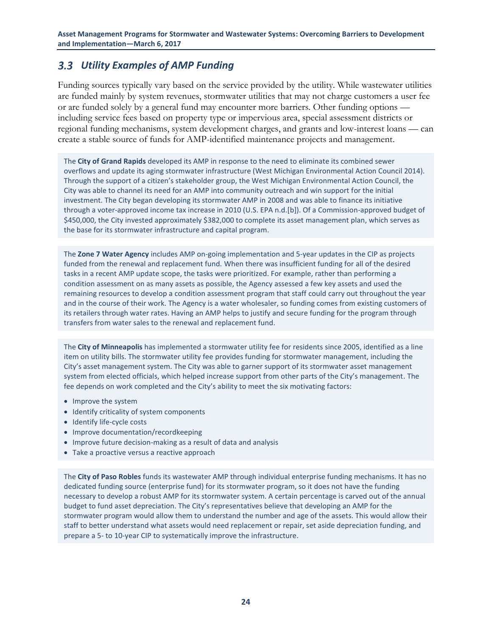### <span id="page-30-0"></span>*Utility Examples of AMP Funding*

Funding sources typically vary based on the service provided by the utility. While wastewater utilities are funded mainly by system revenues, stormwater utilities that may not charge customers a user fee or are funded solely by a general fund may encounter more barriers. Other funding options including service fees based on property type or impervious area, special assessment districts or regional funding mechanisms, system development charges, and grants and low-interest loans — can create a stable source of funds for AMP-identified maintenance projects and management.

The **City of Grand Rapids** developed its AMP in response to the need to eliminate its combined sewer overflows and update its aging stormwater infrastructure (West Michigan Environmental Action Council 2014). Through the support of a citizen's stakeholder group, the West Michigan Environmental Action Council, the City was able to channel its need for an AMP into community outreach and win support for the initial investment. The City began developing its stormwater AMP in 2008 and was able to finance its initiative through a voter-approved income tax increase in 2010 (U.S. EPA n.d.[b]). Of a Commission-approved budget of \$450,000, the City invested approximately \$382,000 to complete its asset management plan, which serves as the base for its stormwater infrastructure and capital program.

The **Zone 7 Water Agency** includes AMP on-going implementation and 5-year updates in the CIP as projects funded from the renewal and replacement fund. When there was insufficient funding for all of the desired tasks in a recent AMP update scope, the tasks were prioritized. For example, rather than performing a condition assessment on as many assets as possible, the Agency assessed a few key assets and used the remaining resources to develop a condition assessment program that staff could carry out throughout the year and in the course of their work. The Agency is a water wholesaler, so funding comes from existing customers of its retailers through water rates. Having an AMP helps to justify and secure funding for the program through transfers from water sales to the renewal and replacement fund.

The **City of Minneapolis** has implemented a stormwater utility fee for residents since 2005, identified as a line item on utility bills. The stormwater utility fee provides funding for stormwater management, including the City's asset management system. The City was able to garner support of its stormwater asset management system from elected officials, which helped increase support from other parts of the City's management. The fee depends on work completed and the City's ability to meet the six motivating factors:

- Improve the system
- Identify criticality of system components
- Identify life-cycle costs
- Improve documentation/recordkeeping
- Improve future decision-making as a result of data and analysis
- Take a proactive versus a reactive approach

The **City of Paso Robles** funds its wastewater AMP through individual enterprise funding mechanisms. It has no dedicated funding source (enterprise fund) for its stormwater program, so it does not have the funding necessary to develop a robust AMP for its stormwater system. A certain percentage is carved out of the annual budget to fund asset depreciation. The City's representatives believe that developing an AMP for the stormwater program would allow them to understand the number and age of the assets. This would allow their staff to better understand what assets would need replacement or repair, set aside depreciation funding, and prepare a 5- to 10-year CIP to systematically improve the infrastructure.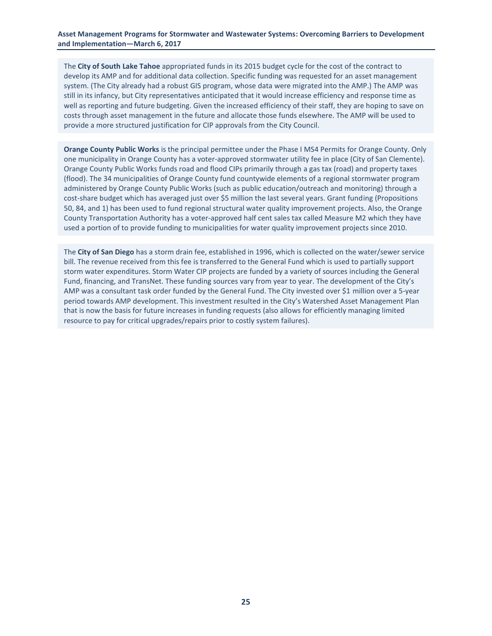The **City of South Lake Tahoe** appropriated funds in its 2015 budget cycle for the cost of the contract to develop its AMP and for additional data collection. Specific funding was requested for an asset management system. (The City already had a robust GIS program, whose data were migrated into the AMP.) The AMP was still in its infancy, but City representatives anticipated that it would increase efficiency and response time as well as reporting and future budgeting. Given the increased efficiency of their staff, they are hoping to save on costs through asset management in the future and allocate those funds elsewhere. The AMP will be used to provide a more structured justification for CIP approvals from the City Council.

**Orange County Public Works** is the principal permittee under the Phase I MS4 Permits for Orange County. Only one municipality in Orange County has a voter-approved stormwater utility fee in place (City of San Clemente). Orange County Public Works funds road and flood CIPs primarily through a gas tax (road) and property taxes (flood). The 34 municipalities of Orange County fund countywide elements of a regional stormwater program administered by Orange County Public Works (such as public education/outreach and monitoring) through a cost-share budget which has averaged just over \$5 million the last several years. Grant funding (Propositions 50, 84, and 1) has been used to fund regional structural water quality improvement projects. Also, the Orange County Transportation Authority has a voter-approved half cent sales tax called Measure M2 which they have used a portion of to provide funding to municipalities for water quality improvement projects since 2010.

The **City of San Diego** has a storm drain fee, established in 1996, which is collected on the water/sewer service bill. The revenue received from this fee is transferred to the General Fund which is used to partially support storm water expenditures. Storm Water CIP projects are funded by a variety of sources including the General Fund, financing, and TransNet. These funding sources vary from year to year. The development of the City's AMP was a consultant task order funded by the General Fund. The City invested over \$1 million over a 5-year period towards AMP development. This investment resulted in the City's Watershed Asset Management Plan that is now the basis for future increases in funding requests (also allows for efficiently managing limited resource to pay for critical upgrades/repairs prior to costly system failures).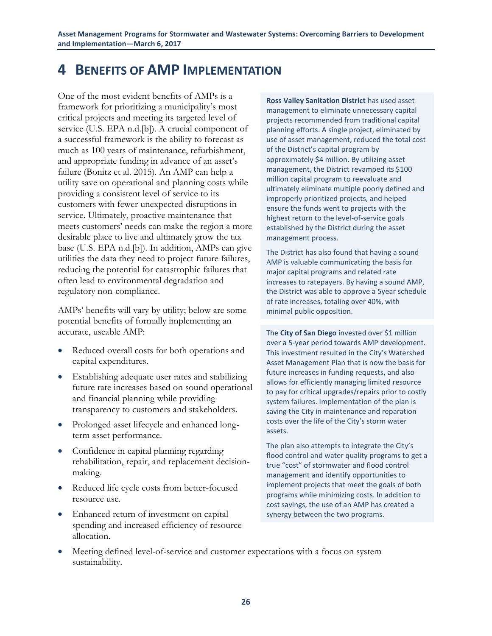## <span id="page-32-0"></span>**4 BENEFITS OF AMP IMPLEMENTATION**

One of the most evident benefits of AMPs is a framework for prioritizing a municipality's most critical projects and meeting its targeted level of service (U.S. EPA n.d.[b]). A crucial component of a successful framework is the ability to forecast as much as 100 years of maintenance, refurbishment, and appropriate funding in advance of an asset's failure (Bonitz et al. 2015). An AMP can help a utility save on operational and planning costs while providing a consistent level of service to its customers with fewer unexpected disruptions in service. Ultimately, proactive maintenance that meets customers' needs can make the region a more desirable place to live and ultimately grow the tax base (U.S. EPA n.d.[b]). In addition, AMPs can give utilities the data they need to project future failures, reducing the potential for catastrophic failures that often lead to environmental degradation and regulatory non-compliance.

AMPs' benefits will vary by utility; below are some potential benefits of formally implementing an accurate, useable AMP:

- Reduced overall costs for both operations and capital expenditures.
- Establishing adequate user rates and stabilizing future rate increases based on sound operational and financial planning while providing transparency to customers and stakeholders.
- Prolonged asset lifecycle and enhanced longterm asset performance.
- Confidence in capital planning regarding rehabilitation, repair, and replacement decisionmaking.
- Reduced life cycle costs from better-focused resource use.
- Enhanced return of investment on capital spending and increased efficiency of resource allocation.

**Ross Valley Sanitation District** has used asset management to eliminate unnecessary capital projects recommended from traditional capital planning efforts. A single project, eliminated by use of asset management, reduced the total cost of the District's capital program by approximately \$4 million. By utilizing asset management, the District revamped its \$100 million capital program to reevaluate and ultimately eliminate multiple poorly defined and improperly prioritized projects, and helped ensure the funds went to projects with the highest return to the level-of-service goals established by the District during the asset management process.

The District has also found that having a sound AMP is valuable communicating the basis for major capital programs and related rate increases to ratepayers. By having a sound AMP, the District was able to approve a 5year schedule of rate increases, totaling over 40%, with minimal public opposition.

The **City of San Diego** invested over \$1 million over a 5-year period towards AMP development. This investment resulted in the City's Watershed Asset Management Plan that is now the basis for future increases in funding requests, and also allows for efficiently managing limited resource to pay for critical upgrades/repairs prior to costly system failures. Implementation of the plan is saving the City in maintenance and reparation costs over the life of the City's storm water assets.

The plan also attempts to integrate the City's flood control and water quality programs to get a true "cost" of stormwater and flood control management and identify opportunities to implement projects that meet the goals of both programs while minimizing costs. In addition to cost savings, the use of an AMP has created a synergy between the two programs.

 Meeting defined level-of-service and customer expectations with a focus on system sustainability.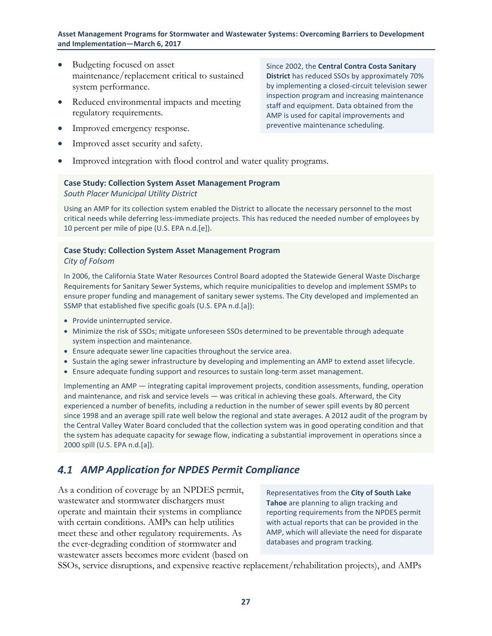- Budgeting focused on asset maintenance/replacement critical to sustained system performance.
- Reduced environmental impacts and meeting regulatory requirements.
- Improved emergency response.
- Improved asset security and safety.

Improved integration with flood control and water quality programs.

#### **Case Study: Collection System Asset Management Program** *South Placer Municipal Utility District*

Using an AMP for its collection system enabled the District to allocate the necessary personnel to the most critical needs while deferring less-immediate projects. This has reduced the needed number of employees by 10 percent per mile of pipe (U.S. EPA n.d.[e]).

### **Case Study: Collection System Asset Management Program**

#### *City of Folsom*

In 2006, the California State Water Resources Control Board adopted the Statewide General Waste Discharge Requirements for Sanitary Sewer Systems, which require municipalities to develop and implement SSMPs to ensure proper funding and management of sanitary sewer systems. The City developed and implemented an SSMP that established five specific goals (U.S. EPA n.d.[a]):

- Provide uninterrupted service.
- Minimize the risk of SSOs; mitigate unforeseen SSOs determined to be preventable through adequate system inspection and maintenance.
- Ensure adequate sewer line capacities throughout the service area.
- Sustain the aging sewer infrastructure by developing and implementing an AMP to extend asset lifecycle.
- Ensure adequate funding support and resources to sustain long-term asset management.

Implementing an AMP — integrating capital improvement projects, condition assessments, funding, operation and maintenance, and risk and service levels - was critical in achieving these goals. Afterward, the City experienced a number of benefits, including a reduction in the number of sewer spill events by 80 percent since 1998 and an average spill rate well below the regional and state averages. A 2012 audit of the program by the Central Valley Water Board concluded that the collection system was in good operating condition and that the system has adequate capacity for sewage flow, indicating a substantial improvement in operations since a 2000 spill (U.S. EPA n.d.[a]).

### <span id="page-33-0"></span>*AMP Application for NPDES Permit Compliance*

As a condition of coverage by an NPDES permit, wastewater and stormwater dischargers must operate and maintain their systems in compliance with certain conditions. AMPs can help utilities meet these and other regulatory requirements. As the ever-degrading condition of stormwater and wastewater assets becomes more evident (based on

Representatives from the **City of South Lake Tahoe** are planning to align tracking and reporting requirements from the NPDES permit with actual reports that can be provided in the AMP, which will alleviate the need for disparate databases and program tracking*.*

SSOs, service disruptions, and expensive reactive replacement/rehabilitation projects), and AMPs

Since 2002, the **Central Contra Costa Sanitary District** has reduced SSOs by approximately 70% by implementing a closed-circuit television sewer inspection program and increasing maintenance staff and equipment. Data obtained from the AMP is used for capital improvements and preventive maintenance scheduling.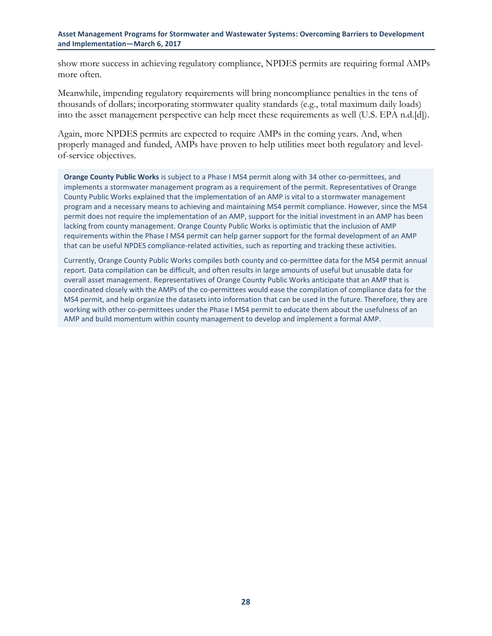show more success in achieving regulatory compliance, NPDES permits are requiring formal AMPs more often.

Meanwhile, impending regulatory requirements will bring noncompliance penalties in the tens of thousands of dollars; incorporating stormwater quality standards (e.g., total maximum daily loads) into the asset management perspective can help meet these requirements as well (U.S. EPA n.d.[d]).

Again, more NPDES permits are expected to require AMPs in the coming years. And, when properly managed and funded, AMPs have proven to help utilities meet both regulatory and levelof-service objectives.

**Orange County Public Works** is subject to a Phase I MS4 permit along with 34 other co-permittees, and implements a stormwater management program as a requirement of the permit. Representatives of Orange County Public Works explained that the implementation of an AMP is vital to a stormwater management program and a necessary means to achieving and maintaining MS4 permit compliance. However, since the MS4 permit does not require the implementation of an AMP, support for the initial investment in an AMP has been lacking from county management. Orange County Public Works is optimistic that the inclusion of AMP requirements within the Phase I MS4 permit can help garner support for the formal development of an AMP that can be useful NPDES compliance-related activities, such as reporting and tracking these activities.

Currently, Orange County Public Works compiles both county and co-permittee data for the MS4 permit annual report. Data compilation can be difficult, and often results in large amounts of useful but unusable data for overall asset management. Representatives of Orange County Public Works anticipate that an AMP that is coordinated closely with the AMPs of the co-permittees would ease the compilation of compliance data for the MS4 permit, and help organize the datasets into information that can be used in the future. Therefore, they are working with other co-permittees under the Phase I MS4 permit to educate them about the usefulness of an AMP and build momentum within county management to develop and implement a formal AMP.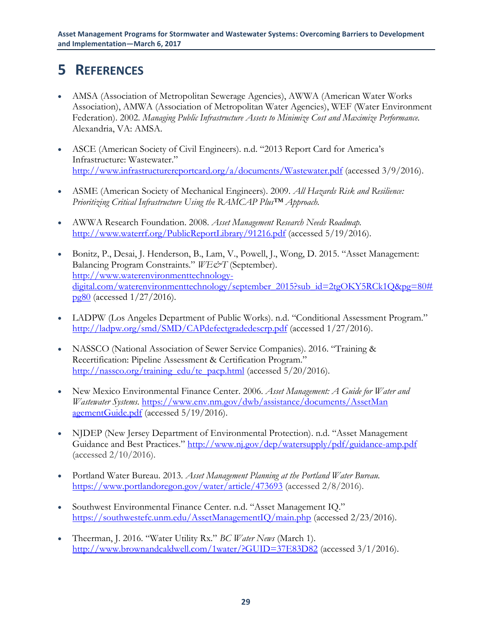## <span id="page-35-0"></span>**5 REFERENCES**

- AMSA (Association of Metropolitan Sewerage Agencies), AWWA (American Water Works Association), AMWA (Association of Metropolitan Water Agencies), WEF (Water Environment Federation). 2002. *Managing Public Infrastructure Assets to Minimize Cost and Maximize Performance.* Alexandria, VA: AMSA.
- ASCE (American Society of Civil Engineers). n.d. "2013 Report Card for America's Infrastructure: Wastewater." <http://www.infrastructurereportcard.org/a/documents/Wastewater.pdf> (accessed 3/9/2016).
- ASME (American Society of Mechanical Engineers). 2009. *All Hazards Risk and Resilience: Prioritizing Critical Infrastructure Using the RAMCAP Plus™ Approach.*
- AWWA Research Foundation. 2008. *Asset Management Research Needs Roadmap.* <http://www.waterrf.org/PublicReportLibrary/91216.pdf> (accessed 5/19/2016).
- Bonitz, P., Desai, J. Henderson, B., Lam, V., Powell, J., Wong, D. 2015. "Asset Management: Balancing Program Constraints." *WE&T* (September). [http://www.waterenvironmenttechnology](http://www.waterenvironmenttechnology-digital.com/waterenvironmenttechnology/september_2015?sub_id=2tgOKY5RCk1Q&pg=80#pg80)[digital.com/waterenvironmenttechnology/september\\_2015?sub\\_id=2tgOKY5RCk1Q&pg=80#](http://www.waterenvironmenttechnology-digital.com/waterenvironmenttechnology/september_2015?sub_id=2tgOKY5RCk1Q&pg=80#pg80) [pg80](http://www.waterenvironmenttechnology-digital.com/waterenvironmenttechnology/september_2015?sub_id=2tgOKY5RCk1Q&pg=80#pg80) (accessed 1/27/2016).
- LADPW (Los Angeles Department of Public Works). n.d. "Conditional Assessment Program." <http://ladpw.org/smd/SMD/CAPdefectgradedescrp.pdf> (accessed 1/27/2016).
- NASSCO (National Association of Sewer Service Companies). 2016. "Training & Recertification: Pipeline Assessment & Certification Program." [http://nassco.org/training\\_edu/te\\_pacp.html](http://nassco.org/training_edu/te_pacp.html) (accessed 5/20/2016).
- New Mexico Environmental Finance Center. 2006. *Asset Management: A Guide for Water and Wastewater Systems*. [https://www.env.nm.gov/dwb/assistance/documents/AssetMan](https://www.env.nm.gov/dwb/assistance/documents/AssetManagementGuide.pdf) [agementGuide.pdf](https://www.env.nm.gov/dwb/assistance/documents/AssetManagementGuide.pdf) (accessed 5/19/2016).
- NJDEP (New Jersey Department of Environmental Protection). n.d. "Asset Management Guidance and Best Practices." <http://www.nj.gov/dep/watersupply/pdf/guidance-amp.pdf> (accessed 2/10/2016).
- Portland Water Bureau. 2013. *Asset Management Planning at the Portland Water Bureau.* <https://www.portlandoregon.gov/water/article/473693> (accessed 2/8/2016).
- Southwest Environmental Finance Center. n.d. "Asset Management IQ." <https://southwestefc.unm.edu/AssetManagementIQ/main.php> (accessed 2/23/2016).
- Theerman, J. 2016. "Water Utility Rx." *BC Water News* (March 1). <http://www.brownandcaldwell.com/1water/?GUID=37E83D82> (accessed 3/1/2016).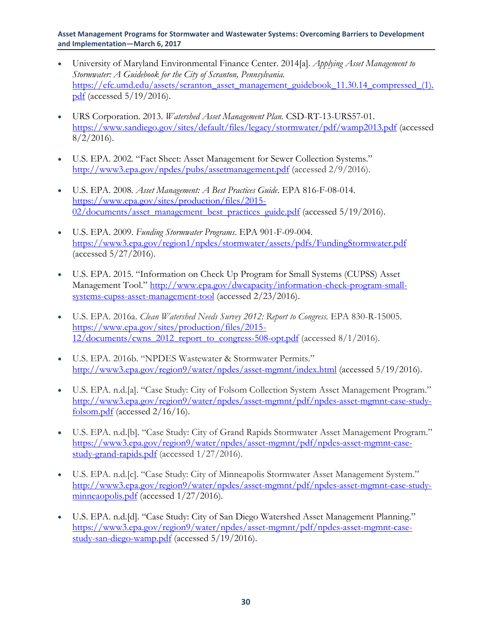- University of Maryland Environmental Finance Center. 2014[a]. *Applying Asset Management to Stormwater: A Guidebook for the City of Scranton, Pennsylvania.* [https://efc.umd.edu/assets/scranton\\_asset\\_management\\_guidebook\\_11.30.14\\_compressed\\_\(1\).](https://efc.umd.edu/assets/scranton_asset_management_guidebook_11.30.14_compressed_(1).pdf) [pdf](https://efc.umd.edu/assets/scranton_asset_management_guidebook_11.30.14_compressed_(1).pdf) (accessed 5/19/2016).
- URS Corporation. 2013. *Watershed Asset Management Plan.* CSD-RT-13-URS57-01. <https://www.sandiego.gov/sites/default/files/legacy/stormwater/pdf/wamp2013.pdf> (accessed  $8/2/2016$ .
- U.S. EPA. 2002. "Fact Sheet: Asset Management for Sewer Collection Systems." <http://www3.epa.gov/npdes/pubs/assetmanagement.pdf> (accessed 2/9/2016).
- U.S. EPA. 2008. *Asset Management: A Best Practices Guide*. EPA 816-F-08-014. [https://www.epa.gov/sites/production/files/2015-](https://www.epa.gov/sites/production/files/2015-02/documents/asset_management_best_practices_guide.pdf) [02/documents/asset\\_management\\_best\\_practices\\_guide.pdf](https://www.epa.gov/sites/production/files/2015-02/documents/asset_management_best_practices_guide.pdf) (accessed 5/19/2016).
- U.S. EPA. 2009. *Funding Stormwater Programs*. EPA 901-F-09-004. <https://www3.epa.gov/region1/npdes/stormwater/assets/pdfs/FundingStormwater.pdf> (accessed 5/27/2016).
- U.S. EPA. 2015. "Information on Check Up Program for Small Systems (CUPSS) Asset Management Tool." [http://www.epa.gov/dwcapacity/information-check-program-small](http://www.epa.gov/dwcapacity/information-check-program-small-systems-cupss-asset-management-tool)[systems-cupss-asset-management-tool](http://www.epa.gov/dwcapacity/information-check-program-small-systems-cupss-asset-management-tool) (accessed 2/23/2016).
- U.S. EPA. 2016a. *Clean Watershed Needs Survey 2012: Report to Congress.* EPA 830-R-15005. [https://www.epa.gov/sites/production/files/2015-](https://www.epa.gov/sites/production/files/2015-12/documents/cwns_2012_report_to_congress-508-opt.pdf)  $12$ /documents/cwns  $2012$  report to congress-508-opt.pdf (accessed 8/1/2016).
- U.S. EPA. 2016b. "NPDES Wastewater & Stormwater Permits." <http://www3.epa.gov/region9/water/npdes/asset-mgmnt/index.html> (accessed 5/19/2016).
- U.S. EPA. n.d.[a]. "Case Study: City of Folsom Collection System Asset Management Program." [http://www3.epa.gov/region9/water/npdes/asset-mgmnt/pdf/npdes-asset-mgmnt-case-study](http://www3.epa.gov/region9/water/npdes/asset-mgmnt/pdf/npdes-asset-mgmnt-case-study-folsom.pdf)[folsom.pdf](http://www3.epa.gov/region9/water/npdes/asset-mgmnt/pdf/npdes-asset-mgmnt-case-study-folsom.pdf) (accessed 2/16/16).
- U.S. EPA. n.d.[b]. "Case Study: City of Grand Rapids Stormwater Asset Management Program." [https://www3.epa.gov/region9/water/npdes/asset-mgmnt/pdf/npdes-asset-mgmnt-case](https://www3.epa.gov/region9/water/npdes/asset-mgmnt/pdf/npdes-asset-mgmnt-case-study-grand-rapids.pdf)[study-grand-rapids.pdf](https://www3.epa.gov/region9/water/npdes/asset-mgmnt/pdf/npdes-asset-mgmnt-case-study-grand-rapids.pdf) (accessed 1/27/2016).
- U.S. EPA. n.d.[c]. "Case Study: City of Minneapolis Stormwater Asset Management System." [http://www3.epa.gov/region9/water/npdes/asset-mgmnt/pdf/npdes-asset-mgmnt-case-study](http://www3.epa.gov/region9/water/npdes/asset-mgmnt/pdf/npdes-asset-mgmnt-case-study-minneaopolis.pdf)[minneaopolis.pdf](http://www3.epa.gov/region9/water/npdes/asset-mgmnt/pdf/npdes-asset-mgmnt-case-study-minneaopolis.pdf) (accessed 1/27/2016).
- U.S. EPA. n.d.[d]. "Case Study: City of San Diego Watershed Asset Management Planning." [https://www3.epa.gov/region9/water/npdes/asset-mgmnt/pdf/npdes-asset-mgmnt-case](https://www3.epa.gov/region9/water/npdes/asset-mgmnt/pdf/npdes-asset-mgmnt-case-study-san-diego-wamp.pdf)[study-san-diego-wamp.pdf](https://www3.epa.gov/region9/water/npdes/asset-mgmnt/pdf/npdes-asset-mgmnt-case-study-san-diego-wamp.pdf) (accessed 5/19/2016).